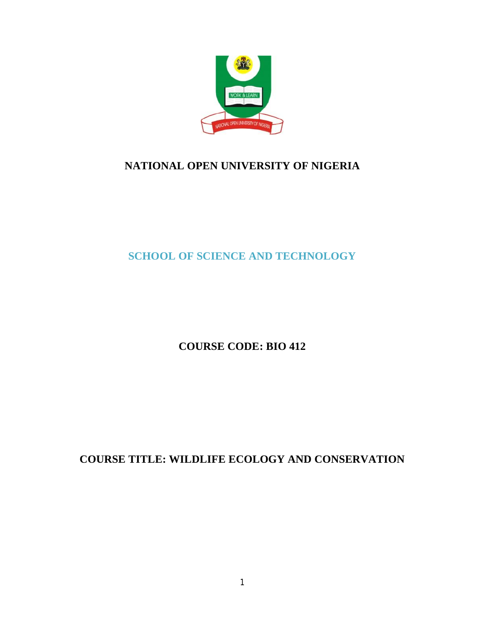

# **NATIONAL OPEN UNIVERSITY OF NIGERIA**

**SCHOOL OF SCIENCE AND TECHNOLOGY**

**COURSE CODE: BIO 412**

**COURSE TITLE: WILDLIFE ECOLOGY AND CONSERVATION**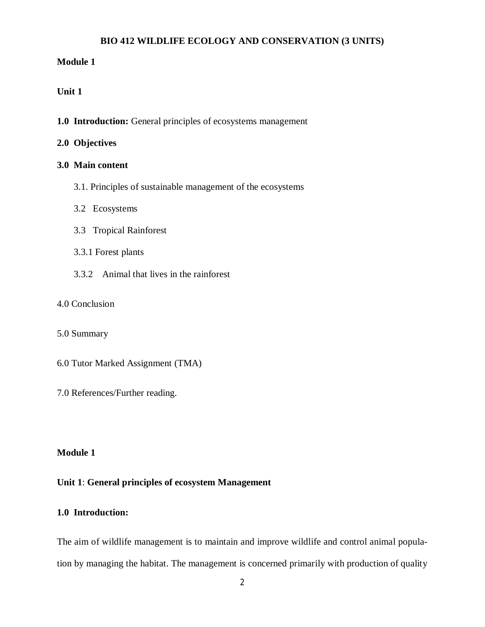### **BIO 412 WILDLIFE ECOLOGY AND CONSERVATION (3 UNITS)**

### **Module 1**

### **Unit 1**

**1.0 Introduction:** General principles of ecosystems management

### **2.0 Objectives**

### **3.0 Main content**

- 3.1. Principles of sustainable management of the ecosystems
- 3.2 Ecosystems
- 3.3 Tropical Rainforest
- 3.3.1 Forest plants
- 3.3.2 Animal that lives in the rainforest
- 4.0 Conclusion
- 5.0 Summary
- 6.0 Tutor Marked Assignment (TMA)
- 7.0 References/Further reading.

### **Module 1**

### **Unit 1**: **General principles of ecosystem Management**

### **1.0 Introduction:**

The aim of wildlife management is to maintain and improve wildlife and control animal population by managing the habitat. The management is concerned primarily with production of quality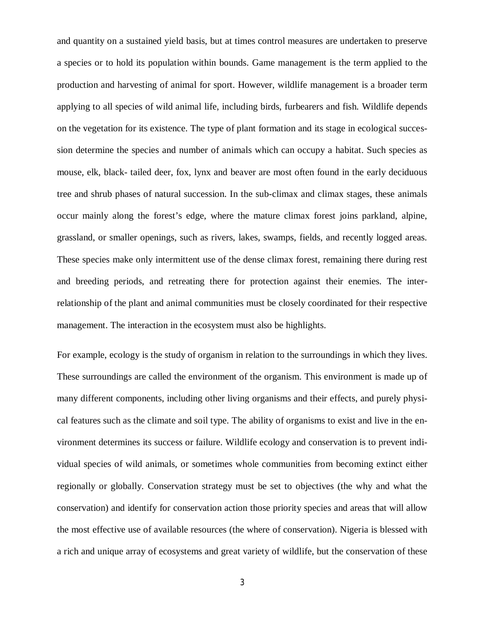and quantity on a sustained yield basis, but at times control measures are undertaken to preserve a species or to hold its population within bounds. Game management is the term applied to the production and harvesting of animal for sport. However, wildlife management is a broader term applying to all species of wild animal life, including birds, furbearers and fish. Wildlife depends on the vegetation for its existence. The type of plant formation and its stage in ecological succession determine the species and number of animals which can occupy a habitat. Such species as mouse, elk, black- tailed deer, fox, lynx and beaver are most often found in the early deciduous tree and shrub phases of natural succession. In the sub-climax and climax stages, these animals occur mainly along the forest's edge, where the mature climax forest joins parkland, alpine, grassland, or smaller openings, such as rivers, lakes, swamps, fields, and recently logged areas. These species make only intermittent use of the dense climax forest, remaining there during rest and breeding periods, and retreating there for protection against their enemies. The interrelationship of the plant and animal communities must be closely coordinated for their respective management. The interaction in the ecosystem must also be highlights.

For example, ecology is the study of organism in relation to the surroundings in which they lives. These surroundings are called the environment of the organism. This environment is made up of many different components, including other living organisms and their effects, and purely physical features such as the climate and soil type. The ability of organisms to exist and live in the environment determines its success or failure. Wildlife ecology and conservation is to prevent individual species of wild animals, or sometimes whole communities from becoming extinct either regionally or globally. Conservation strategy must be set to objectives (the why and what the conservation) and identify for conservation action those priority species and areas that will allow the most effective use of available resources (the where of conservation). Nigeria is blessed with a rich and unique array of ecosystems and great variety of wildlife, but the conservation of these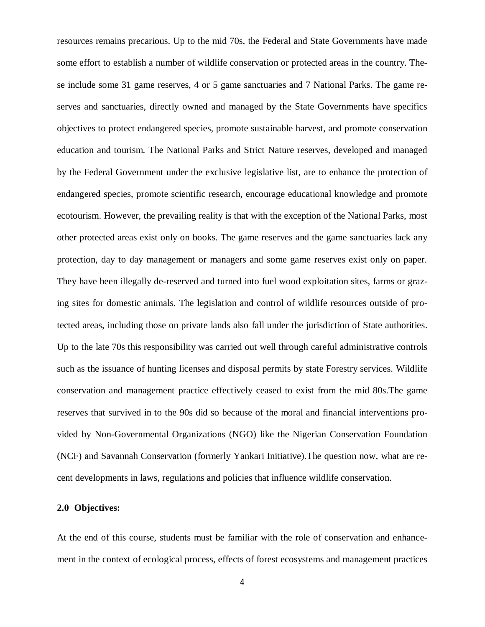resources remains precarious. Up to the mid 70s, the Federal and State Governments have made some effort to establish a number of wildlife conservation or protected areas in the country. These include some 31 game reserves, 4 or 5 game sanctuaries and 7 National Parks. The game reserves and sanctuaries, directly owned and managed by the State Governments have specifics objectives to protect endangered species, promote sustainable harvest, and promote conservation education and tourism. The National Parks and Strict Nature reserves, developed and managed by the Federal Government under the exclusive legislative list, are to enhance the protection of endangered species, promote scientific research, encourage educational knowledge and promote ecotourism. However, the prevailing reality is that with the exception of the National Parks, most other protected areas exist only on books. The game reserves and the game sanctuaries lack any protection, day to day management or managers and some game reserves exist only on paper. They have been illegally de-reserved and turned into fuel wood exploitation sites, farms or grazing sites for domestic animals. The legislation and control of wildlife resources outside of protected areas, including those on private lands also fall under the jurisdiction of State authorities. Up to the late 70s this responsibility was carried out well through careful administrative controls such as the issuance of hunting licenses and disposal permits by state Forestry services. Wildlife conservation and management practice effectively ceased to exist from the mid 80s.The game reserves that survived in to the 90s did so because of the moral and financial interventions provided by Non-Governmental Organizations (NGO) like the Nigerian Conservation Foundation (NCF) and Savannah Conservation (formerly Yankari Initiative).The question now, what are recent developments in laws, regulations and policies that influence wildlife conservation.

### **2.0 Objectives:**

At the end of this course, students must be familiar with the role of conservation and enhancement in the context of ecological process, effects of forest ecosystems and management practices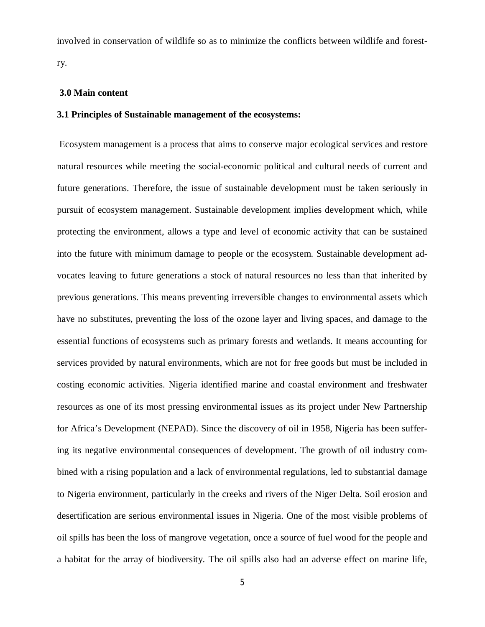involved in conservation of wildlife so as to minimize the conflicts between wildlife and forestry.

### **3.0 Main content**

### **3.1 Principles of Sustainable management of the ecosystems:**

Ecosystem management is a process that aims to conserve major ecological services and restore natural resources while meeting the social-economic political and cultural needs of current and future generations. Therefore, the issue of sustainable development must be taken seriously in pursuit of ecosystem management. Sustainable development implies development which, while protecting the environment, allows a type and level of economic activity that can be sustained into the future with minimum damage to people or the ecosystem. Sustainable development advocates leaving to future generations a stock of natural resources no less than that inherited by previous generations. This means preventing irreversible changes to environmental assets which have no substitutes, preventing the loss of the ozone layer and living spaces, and damage to the essential functions of ecosystems such as primary forests and wetlands. It means accounting for services provided by natural environments, which are not for free goods but must be included in costing economic activities. Nigeria identified marine and coastal environment and freshwater resources as one of its most pressing environmental issues as its project under New Partnership for Africa's Development (NEPAD). Since the discovery of oil in 1958, Nigeria has been suffering its negative environmental consequences of development. The growth of oil industry combined with a rising population and a lack of environmental regulations, led to substantial damage to Nigeria environment, particularly in the creeks and rivers of the Niger Delta. Soil erosion and desertification are serious environmental issues in Nigeria. One of the most visible problems of oil spills has been the loss of mangrove vegetation, once a source of fuel wood for the people and a habitat for the array of biodiversity. The oil spills also had an adverse effect on marine life,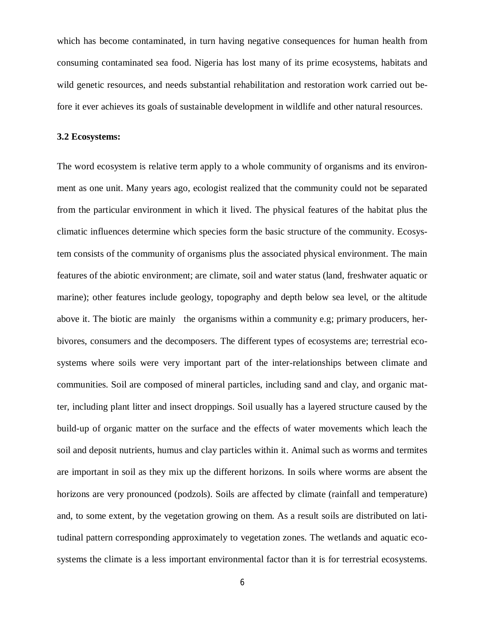which has become contaminated, in turn having negative consequences for human health from consuming contaminated sea food. Nigeria has lost many of its prime ecosystems, habitats and wild genetic resources, and needs substantial rehabilitation and restoration work carried out before it ever achieves its goals of sustainable development in wildlife and other natural resources.

#### **3.2 Ecosystems:**

The word ecosystem is relative term apply to a whole community of organisms and its environment as one unit. Many years ago, ecologist realized that the community could not be separated from the particular environment in which it lived. The physical features of the habitat plus the climatic influences determine which species form the basic structure of the community. Ecosystem consists of the community of organisms plus the associated physical environment. The main features of the abiotic environment; are climate, soil and water status (land, freshwater aquatic or marine); other features include geology, topography and depth below sea level, or the altitude above it. The biotic are mainly the organisms within a community e.g; primary producers, herbivores, consumers and the decomposers. The different types of ecosystems are; terrestrial ecosystems where soils were very important part of the inter-relationships between climate and communities. Soil are composed of mineral particles, including sand and clay, and organic matter, including plant litter and insect droppings. Soil usually has a layered structure caused by the build-up of organic matter on the surface and the effects of water movements which leach the soil and deposit nutrients, humus and clay particles within it. Animal such as worms and termites are important in soil as they mix up the different horizons. In soils where worms are absent the horizons are very pronounced (podzols). Soils are affected by climate (rainfall and temperature) and, to some extent, by the vegetation growing on them. As a result soils are distributed on latitudinal pattern corresponding approximately to vegetation zones. The wetlands and aquatic ecosystems the climate is a less important environmental factor than it is for terrestrial ecosystems.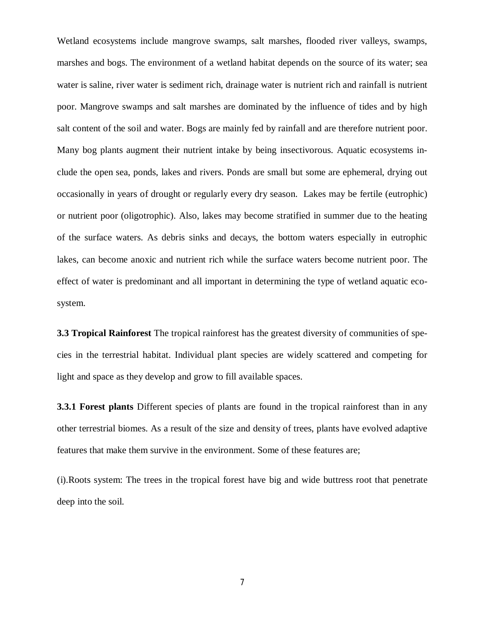Wetland ecosystems include mangrove swamps, salt marshes, flooded river valleys, swamps, marshes and bogs. The environment of a wetland habitat depends on the source of its water; sea water is saline, river water is sediment rich, drainage water is nutrient rich and rainfall is nutrient poor. Mangrove swamps and salt marshes are dominated by the influence of tides and by high salt content of the soil and water. Bogs are mainly fed by rainfall and are therefore nutrient poor. Many bog plants augment their nutrient intake by being insectivorous. Aquatic ecosystems include the open sea, ponds, lakes and rivers. Ponds are small but some are ephemeral, drying out occasionally in years of drought or regularly every dry season. Lakes may be fertile (eutrophic) or nutrient poor (oligotrophic). Also, lakes may become stratified in summer due to the heating of the surface waters. As debris sinks and decays, the bottom waters especially in eutrophic lakes, can become anoxic and nutrient rich while the surface waters become nutrient poor. The effect of water is predominant and all important in determining the type of wetland aquatic ecosystem.

**3.3 Tropical Rainforest** The tropical rainforest has the greatest diversity of communities of species in the terrestrial habitat. Individual plant species are widely scattered and competing for light and space as they develop and grow to fill available spaces.

**3.3.1 Forest plants** Different species of plants are found in the tropical rainforest than in any other terrestrial biomes. As a result of the size and density of trees, plants have evolved adaptive features that make them survive in the environment. Some of these features are;

(i).Roots system: The trees in the tropical forest have big and wide buttress root that penetrate deep into the soil.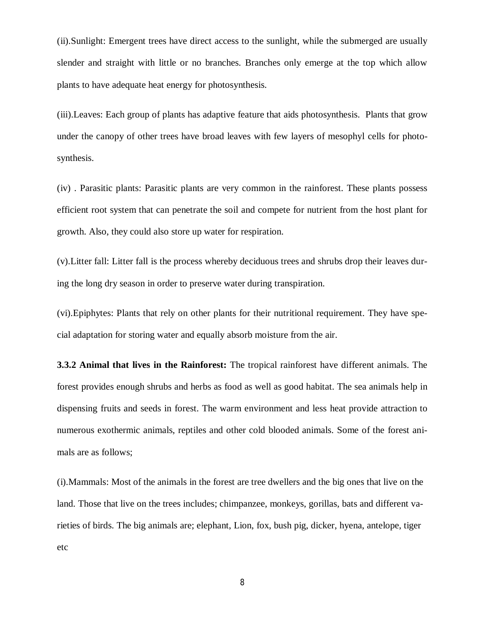(ii).Sunlight: Emergent trees have direct access to the sunlight, while the submerged are usually slender and straight with little or no branches. Branches only emerge at the top which allow plants to have adequate heat energy for photosynthesis.

(iii).Leaves: Each group of plants has adaptive feature that aids photosynthesis. Plants that grow under the canopy of other trees have broad leaves with few layers of mesophyl cells for photosynthesis.

(iv) . Parasitic plants: Parasitic plants are very common in the rainforest. These plants possess efficient root system that can penetrate the soil and compete for nutrient from the host plant for growth. Also, they could also store up water for respiration.

(v).Litter fall: Litter fall is the process whereby deciduous trees and shrubs drop their leaves during the long dry season in order to preserve water during transpiration.

(vi).Epiphytes: Plants that rely on other plants for their nutritional requirement. They have special adaptation for storing water and equally absorb moisture from the air.

**3.3.2 Animal that lives in the Rainforest:** The tropical rainforest have different animals. The forest provides enough shrubs and herbs as food as well as good habitat. The sea animals help in dispensing fruits and seeds in forest. The warm environment and less heat provide attraction to numerous exothermic animals, reptiles and other cold blooded animals. Some of the forest animals are as follows;

(i).Mammals: Most of the animals in the forest are tree dwellers and the big ones that live on the land. Those that live on the trees includes; chimpanzee, monkeys, gorillas, bats and different varieties of birds. The big animals are; elephant, Lion, fox, bush pig, dicker, hyena, antelope, tiger etc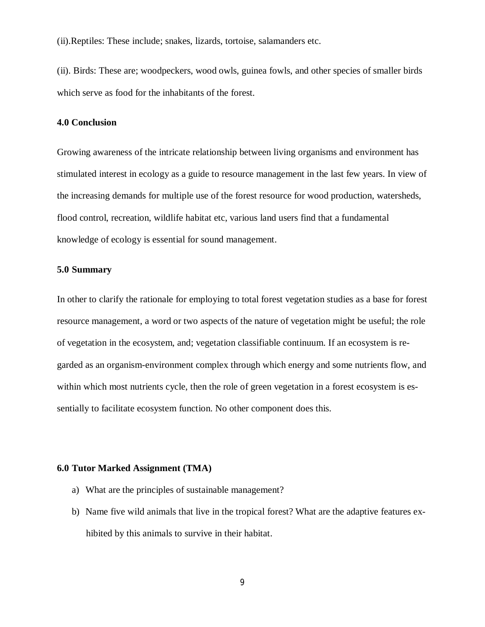(ii).Reptiles: These include; snakes, lizards, tortoise, salamanders etc.

(ii). Birds: These are; woodpeckers, wood owls, guinea fowls, and other species of smaller birds which serve as food for the inhabitants of the forest.

#### **4.0 Conclusion**

Growing awareness of the intricate relationship between living organisms and environment has stimulated interest in ecology as a guide to resource management in the last few years. In view of the increasing demands for multiple use of the forest resource for wood production, watersheds, flood control, recreation, wildlife habitat etc, various land users find that a fundamental knowledge of ecology is essential for sound management.

### **5.0 Summary**

In other to clarify the rationale for employing to total forest vegetation studies as a base for forest resource management, a word or two aspects of the nature of vegetation might be useful; the role of vegetation in the ecosystem, and; vegetation classifiable continuum. If an ecosystem is regarded as an organism-environment complex through which energy and some nutrients flow, and within which most nutrients cycle, then the role of green vegetation in a forest ecosystem is essentially to facilitate ecosystem function. No other component does this.

### **6.0 Tutor Marked Assignment (TMA)**

- a) What are the principles of sustainable management?
- b) Name five wild animals that live in the tropical forest? What are the adaptive features exhibited by this animals to survive in their habitat.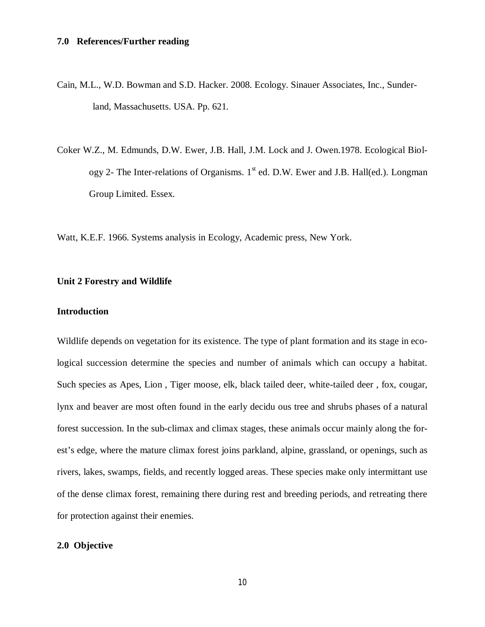- Cain, M.L., W.D. Bowman and S.D. Hacker. 2008. Ecology. Sinauer Associates, Inc., Sunderland, Massachusetts. USA. Pp. 621.
- Coker W.Z., M. Edmunds, D.W. Ewer, J.B. Hall, J.M. Lock and J. Owen.1978. Ecological Biology 2- The Inter-relations of Organisms.  $1<sup>st</sup>$  ed. D.W. Ewer and J.B. Hall(ed.). Longman Group Limited. Essex.

Watt, K.E.F. 1966. Systems analysis in Ecology, Academic press, New York.

### **Unit 2 Forestry and Wildlife**

### **Introduction**

Wildlife depends on vegetation for its existence. The type of plant formation and its stage in ecological succession determine the species and number of animals which can occupy a habitat. Such species as Apes, Lion , Tiger moose, elk, black tailed deer, white-tailed deer , fox, cougar, lynx and beaver are most often found in the early decidu ous tree and shrubs phases of a natural forest succession. In the sub-climax and climax stages, these animals occur mainly along the forest's edge, where the mature climax forest joins parkland, alpine, grassland, or openings, such as rivers, lakes, swamps, fields, and recently logged areas. These species make only intermittant use of the dense climax forest, remaining there during rest and breeding periods, and retreating there for protection against their enemies.

## **2.0 Objective**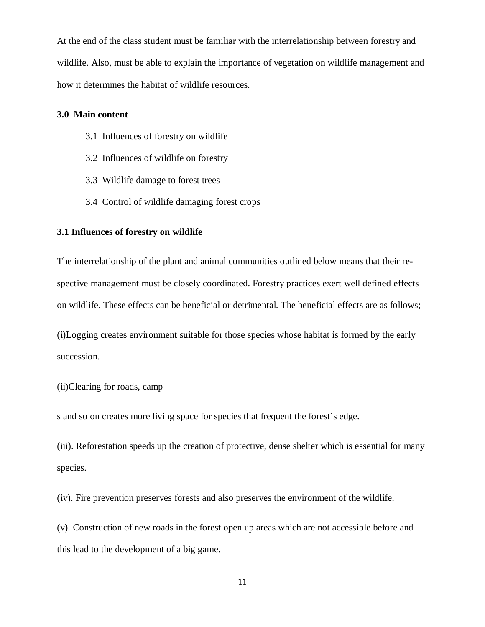At the end of the class student must be familiar with the interrelationship between forestry and wildlife. Also, must be able to explain the importance of vegetation on wildlife management and how it determines the habitat of wildlife resources.

#### **3.0 Main content**

- 3.1 Influences of forestry on wildlife
- 3.2 Influences of wildlife on forestry
- 3.3 Wildlife damage to forest trees
- 3.4 Control of wildlife damaging forest crops

### **3.1 Influences of forestry on wildlife**

The interrelationship of the plant and animal communities outlined below means that their respective management must be closely coordinated. Forestry practices exert well defined effects on wildlife. These effects can be beneficial or detrimental. The beneficial effects are as follows;

(i)Logging creates environment suitable for those species whose habitat is formed by the early succession.

#### (ii)Clearing for roads, camp

s and so on creates more living space for species that frequent the forest's edge.

(iii). Reforestation speeds up the creation of protective, dense shelter which is essential for many species.

(iv). Fire prevention preserves forests and also preserves the environment of the wildlife.

(v). Construction of new roads in the forest open up areas which are not accessible before and this lead to the development of a big game.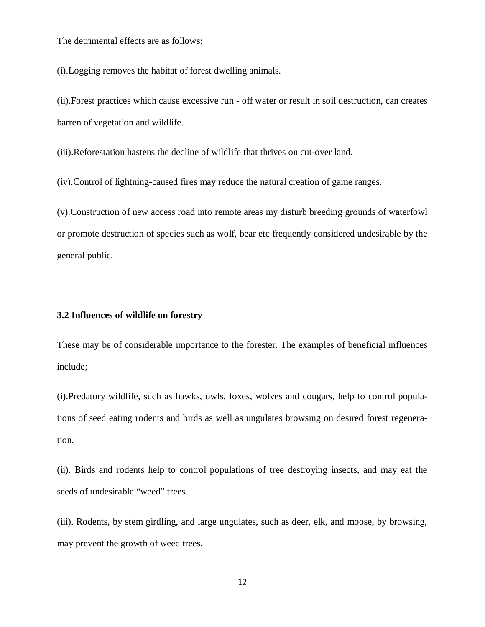The detrimental effects are as follows;

(i).Logging removes the habitat of forest dwelling animals.

(ii).Forest practices which cause excessive run - off water or result in soil destruction, can creates barren of vegetation and wildlife.

(iii).Reforestation hastens the decline of wildlife that thrives on cut-over land.

(iv).Control of lightning-caused fires may reduce the natural creation of game ranges.

(v).Construction of new access road into remote areas my disturb breeding grounds of waterfowl or promote destruction of species such as wolf, bear etc frequently considered undesirable by the general public.

### **3.2 Influences of wildlife on forestry**

These may be of considerable importance to the forester. The examples of beneficial influences include;

(i).Predatory wildlife, such as hawks, owls, foxes, wolves and cougars, help to control populations of seed eating rodents and birds as well as ungulates browsing on desired forest regeneration.

(ii). Birds and rodents help to control populations of tree destroying insects, and may eat the seeds of undesirable "weed" trees.

(iii). Rodents, by stem girdling, and large ungulates, such as deer, elk, and moose, by browsing, may prevent the growth of weed trees.

12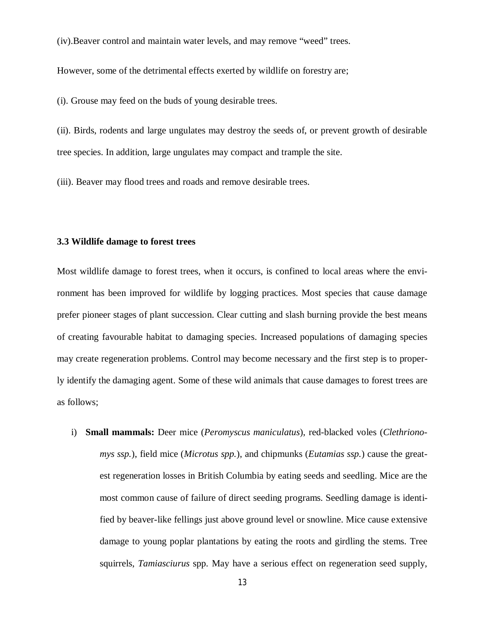(iv).Beaver control and maintain water levels, and may remove "weed" trees.

However, some of the detrimental effects exerted by wildlife on forestry are;

(i). Grouse may feed on the buds of young desirable trees.

(ii). Birds, rodents and large ungulates may destroy the seeds of, or prevent growth of desirable tree species. In addition, large ungulates may compact and trample the site.

(iii). Beaver may flood trees and roads and remove desirable trees.

### **3.3 Wildlife damage to forest trees**

Most wildlife damage to forest trees, when it occurs, is confined to local areas where the environment has been improved for wildlife by logging practices. Most species that cause damage prefer pioneer stages of plant succession. Clear cutting and slash burning provide the best means of creating favourable habitat to damaging species. Increased populations of damaging species may create regeneration problems. Control may become necessary and the first step is to properly identify the damaging agent. Some of these wild animals that cause damages to forest trees are as follows;

i) **Small mammals:** Deer mice (*Peromyscus maniculatus*), red-blacked voles (*Clethrionomys ssp.*), field mice (*Microtus spp.*), and chipmunks (*Eutamias ssp.*) cause the greatest regeneration losses in British Columbia by eating seeds and seedling. Mice are the most common cause of failure of direct seeding programs. Seedling damage is identified by beaver-like fellings just above ground level or snowline. Mice cause extensive damage to young poplar plantations by eating the roots and girdling the stems. Tree squirrels, *Tamiasciurus* spp. May have a serious effect on regeneration seed supply,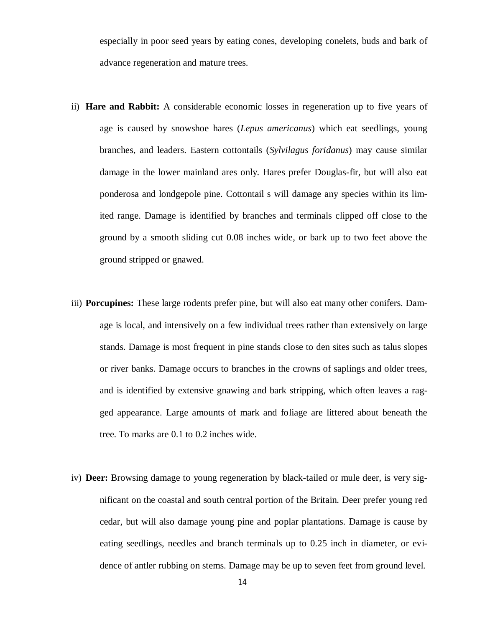especially in poor seed years by eating cones, developing conelets, buds and bark of advance regeneration and mature trees.

- ii) **Hare and Rabbit:** A considerable economic losses in regeneration up to five years of age is caused by snowshoe hares (*Lepus americanus*) which eat seedlings, young branches, and leaders. Eastern cottontails (*Sylvilagus foridanus*) may cause similar damage in the lower mainland ares only. Hares prefer Douglas-fir, but will also eat ponderosa and londgepole pine. Cottontail s will damage any species within its limited range. Damage is identified by branches and terminals clipped off close to the ground by a smooth sliding cut 0.08 inches wide, or bark up to two feet above the ground stripped or gnawed.
- iii) **Porcupines:** These large rodents prefer pine, but will also eat many other conifers. Damage is local, and intensively on a few individual trees rather than extensively on large stands. Damage is most frequent in pine stands close to den sites such as talus slopes or river banks. Damage occurs to branches in the crowns of saplings and older trees, and is identified by extensive gnawing and bark stripping, which often leaves a ragged appearance. Large amounts of mark and foliage are littered about beneath the tree. To marks are 0.1 to 0.2 inches wide.
- iv) **Deer:** Browsing damage to young regeneration by black-tailed or mule deer, is very significant on the coastal and south central portion of the Britain. Deer prefer young red cedar, but will also damage young pine and poplar plantations. Damage is cause by eating seedlings, needles and branch terminals up to 0.25 inch in diameter, or evidence of antler rubbing on stems. Damage may be up to seven feet from ground level.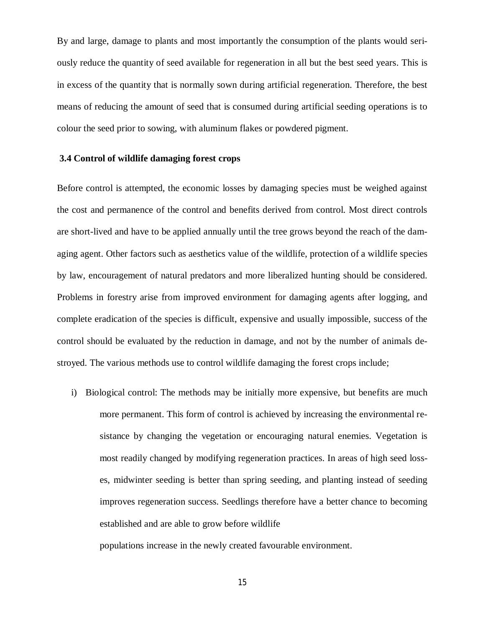By and large, damage to plants and most importantly the consumption of the plants would seriously reduce the quantity of seed available for regeneration in all but the best seed years. This is in excess of the quantity that is normally sown during artificial regeneration. Therefore, the best means of reducing the amount of seed that is consumed during artificial seeding operations is to colour the seed prior to sowing, with aluminum flakes or powdered pigment.

### **3.4 Control of wildlife damaging forest crops**

Before control is attempted, the economic losses by damaging species must be weighed against the cost and permanence of the control and benefits derived from control. Most direct controls are short-lived and have to be applied annually until the tree grows beyond the reach of the damaging agent. Other factors such as aesthetics value of the wildlife, protection of a wildlife species by law, encouragement of natural predators and more liberalized hunting should be considered. Problems in forestry arise from improved environment for damaging agents after logging, and complete eradication of the species is difficult, expensive and usually impossible, success of the control should be evaluated by the reduction in damage, and not by the number of animals destroyed. The various methods use to control wildlife damaging the forest crops include;

i) Biological control: The methods may be initially more expensive, but benefits are much more permanent. This form of control is achieved by increasing the environmental resistance by changing the vegetation or encouraging natural enemies. Vegetation is most readily changed by modifying regeneration practices. In areas of high seed losses, midwinter seeding is better than spring seeding, and planting instead of seeding improves regeneration success. Seedlings therefore have a better chance to becoming established and are able to grow before wildlife

populations increase in the newly created favourable environment.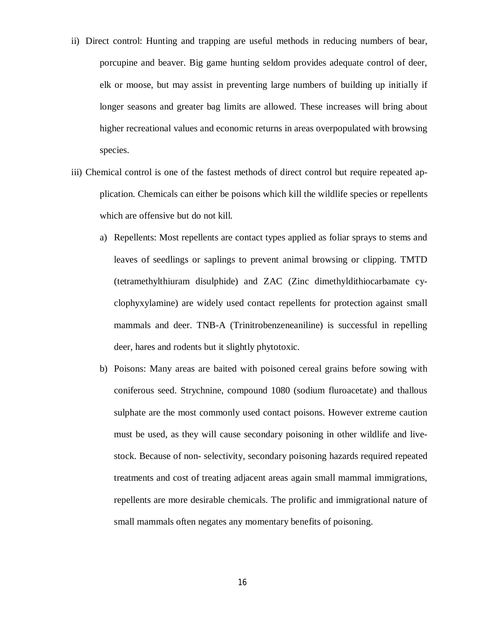- ii) Direct control: Hunting and trapping are useful methods in reducing numbers of bear, porcupine and beaver. Big game hunting seldom provides adequate control of deer, elk or moose, but may assist in preventing large numbers of building up initially if longer seasons and greater bag limits are allowed. These increases will bring about higher recreational values and economic returns in areas overpopulated with browsing species.
- iii) Chemical control is one of the fastest methods of direct control but require repeated application. Chemicals can either be poisons which kill the wildlife species or repellents which are offensive but do not kill.
	- a) Repellents: Most repellents are contact types applied as foliar sprays to stems and leaves of seedlings or saplings to prevent animal browsing or clipping. TMTD (tetramethylthiuram disulphide) and ZAC (Zinc dimethyldithiocarbamate cyclophyxylamine) are widely used contact repellents for protection against small mammals and deer. TNB-A (Trinitrobenzeneaniline) is successful in repelling deer, hares and rodents but it slightly phytotoxic.
	- b) Poisons: Many areas are baited with poisoned cereal grains before sowing with coniferous seed. Strychnine, compound 1080 (sodium fluroacetate) and thallous sulphate are the most commonly used contact poisons. However extreme caution must be used, as they will cause secondary poisoning in other wildlife and livestock. Because of non- selectivity, secondary poisoning hazards required repeated treatments and cost of treating adjacent areas again small mammal immigrations, repellents are more desirable chemicals. The prolific and immigrational nature of small mammals often negates any momentary benefits of poisoning.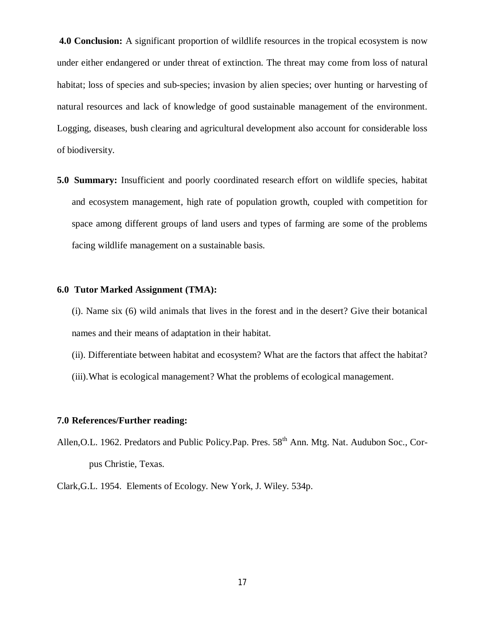**4.0 Conclusion:** A significant proportion of wildlife resources in the tropical ecosystem is now under either endangered or under threat of extinction. The threat may come from loss of natural habitat; loss of species and sub-species; invasion by alien species; over hunting or harvesting of natural resources and lack of knowledge of good sustainable management of the environment. Logging, diseases, bush clearing and agricultural development also account for considerable loss of biodiversity.

**5.0 Summary:** Insufficient and poorly coordinated research effort on wildlife species, habitat and ecosystem management, high rate of population growth, coupled with competition for space among different groups of land users and types of farming are some of the problems facing wildlife management on a sustainable basis.

### **6.0 Tutor Marked Assignment (TMA):**

(i). Name six (6) wild animals that lives in the forest and in the desert? Give their botanical names and their means of adaptation in their habitat.

- (ii). Differentiate between habitat and ecosystem? What are the factors that affect the habitat?
- (iii).What is ecological management? What the problems of ecological management.

### **7.0 References/Further reading:**

Allen, O.L. 1962. Predators and Public Policy. Pap. Pres. 58<sup>th</sup> Ann. Mtg. Nat. Audubon Soc., Corpus Christie, Texas.

Clark,G.L. 1954. Elements of Ecology. New York, J. Wiley. 534p.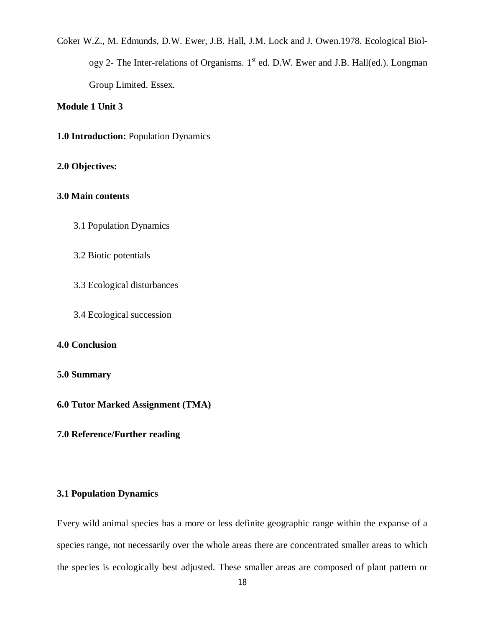Coker W.Z., M. Edmunds, D.W. Ewer, J.B. Hall, J.M. Lock and J. Owen.1978. Ecological Biology 2- The Inter-relations of Organisms.  $1<sup>st</sup>$  ed. D.W. Ewer and J.B. Hall(ed.). Longman Group Limited. Essex.

### **Module 1 Unit 3**

**1.0 Introduction:** Population Dynamics

### **2.0 Objectives:**

### **3.0 Main contents**

- 3.1 Population Dynamics
- 3.2 Biotic potentials
- 3.3 Ecological disturbances
- 3.4 Ecological succession

### **4.0 Conclusion**

### **5.0 Summary**

**6.0 Tutor Marked Assignment (TMA)**

### **7.0 Reference/Further reading**

### **3.1 Population Dynamics**

Every wild animal species has a more or less definite geographic range within the expanse of a species range, not necessarily over the whole areas there are concentrated smaller areas to which the species is ecologically best adjusted. These smaller areas are composed of plant pattern or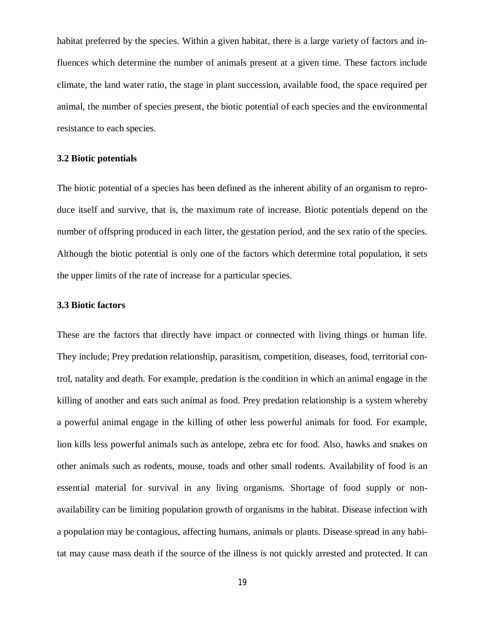habitat preferred by the species. Within a given habitat, there is a large variety of factors and influences which determine the number of animals present at a given time. These factors include climate, the land water ratio, the stage in plant succession, available food, the space required per animal, the number of species present, the biotic potential of each species and the environmental resistance to each species.

### **3.2 Biotic potentials**

The biotic potential of a species has been defined as the inherent ability of an organism to reproduce itself and survive, that is, the maximum rate of increase. Biotic potentials depend on the number of offspring produced in each litter, the gestation period, and the sex ratio of the species. Although the biotic potential is only one of the factors which determine total population, it sets the upper limits of the rate of increase for a particular species.

### **3.3 Biotic factors**

These are the factors that directly have impact or connected with living things or human life. They include; Prey predation relationship, parasitism, competition, diseases, food, territorial control, natality and death. For example, predation is the condition in which an animal engage in the killing of another and eats such animal as food. Prey predation relationship is a system whereby a powerful animal engage in the killing of other less powerful animals for food. For example, lion kills less powerful animals such as antelope, zebra etc for food. Also, hawks and snakes on other animals such as rodents, mouse, toads and other small rodents. Availability of food is an essential material for survival in any living organisms. Shortage of food supply or nonavailability can be limiting population growth of organisms in the habitat. Disease infection with a population may be contagious, affecting humans, animals or plants. Disease spread in any habitat may cause mass death if the source of the illness is not quickly arrested and protected. It can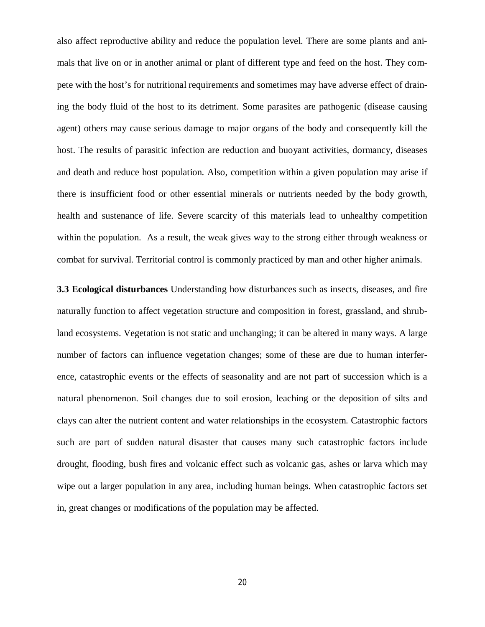also affect reproductive ability and reduce the population level. There are some plants and animals that live on or in another animal or plant of different type and feed on the host. They compete with the host's for nutritional requirements and sometimes may have adverse effect of draining the body fluid of the host to its detriment. Some parasites are pathogenic (disease causing agent) others may cause serious damage to major organs of the body and consequently kill the host. The results of parasitic infection are reduction and buoyant activities, dormancy, diseases and death and reduce host population. Also, competition within a given population may arise if there is insufficient food or other essential minerals or nutrients needed by the body growth, health and sustenance of life. Severe scarcity of this materials lead to unhealthy competition within the population. As a result, the weak gives way to the strong either through weakness or combat for survival. Territorial control is commonly practiced by man and other higher animals.

**3.3 Ecological disturbances** Understanding how disturbances such as insects, diseases, and fire naturally function to affect vegetation structure and composition in forest, grassland, and shrubland ecosystems. Vegetation is not static and unchanging; it can be altered in many ways. A large number of factors can influence vegetation changes; some of these are due to human interference, catastrophic events or the effects of seasonality and are not part of succession which is a natural phenomenon. Soil changes due to soil erosion, leaching or the deposition of silts and clays can alter the nutrient content and water relationships in the ecosystem. Catastrophic factors such are part of sudden natural disaster that causes many such catastrophic factors include drought, flooding, bush fires and volcanic effect such as volcanic gas, ashes or larva which may wipe out a larger population in any area, including human beings. When catastrophic factors set in, great changes or modifications of the population may be affected.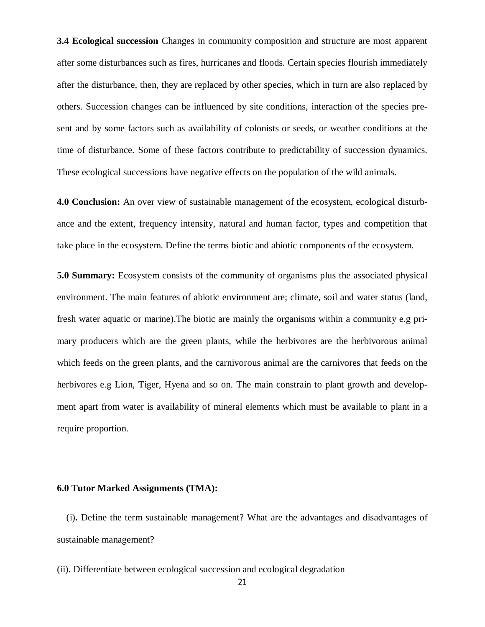**3.4 Ecological succession** Changes in community composition and structure are most apparent after some disturbances such as fires, hurricanes and floods. Certain species flourish immediately after the disturbance, then, they are replaced by other species, which in turn are also replaced by others. Succession changes can be influenced by site conditions, interaction of the species present and by some factors such as availability of colonists or seeds, or weather conditions at the time of disturbance. Some of these factors contribute to predictability of succession dynamics. These ecological successions have negative effects on the population of the wild animals.

**4.0 Conclusion:** An over view of sustainable management of the ecosystem, ecological disturbance and the extent, frequency intensity, natural and human factor, types and competition that take place in the ecosystem. Define the terms biotic and abiotic components of the ecosystem.

**5.0 Summary:** Ecosystem consists of the community of organisms plus the associated physical environment. The main features of abiotic environment are; climate, soil and water status (land, fresh water aquatic or marine).The biotic are mainly the organisms within a community e.g primary producers which are the green plants, while the herbivores are the herbivorous animal which feeds on the green plants, and the carnivorous animal are the carnivores that feeds on the herbivores e.g Lion, Tiger, Hyena and so on. The main constrain to plant growth and development apart from water is availability of mineral elements which must be available to plant in a require proportion.

### **6.0 Tutor Marked Assignments (TMA):**

(i)**.** Define the term sustainable management? What are the advantages and disadvantages of sustainable management?

(ii). Differentiate between ecological succession and ecological degradation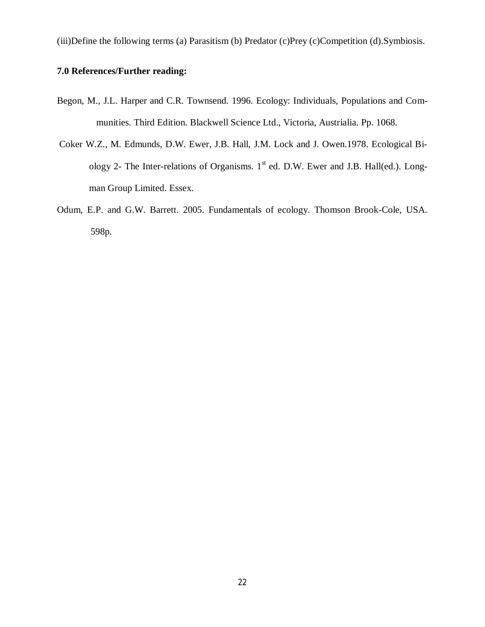(iii)Define the following terms (a) Parasitism (b) Predator (c)Prey (c)Competition (d).Symbiosis.

# **7.0 References/Further reading:**

- Begon, M., J.L. Harper and C.R. Townsend. 1996. Ecology: Individuals, Populations and Communities. Third Edition. Blackwell Science Ltd., Victoria, Austrialia. Pp. 1068.
- Coker W.Z., M. Edmunds, D.W. Ewer, J.B. Hall, J.M. Lock and J. Owen.1978. Ecological Biology 2- The Inter-relations of Organisms.  $1<sup>st</sup>$  ed. D.W. Ewer and J.B. Hall(ed.). Longman Group Limited. Essex.
- Odum, E.P. and G.W. Barrett. 2005. Fundamentals of ecology. Thomson Brook-Cole, USA. 598p.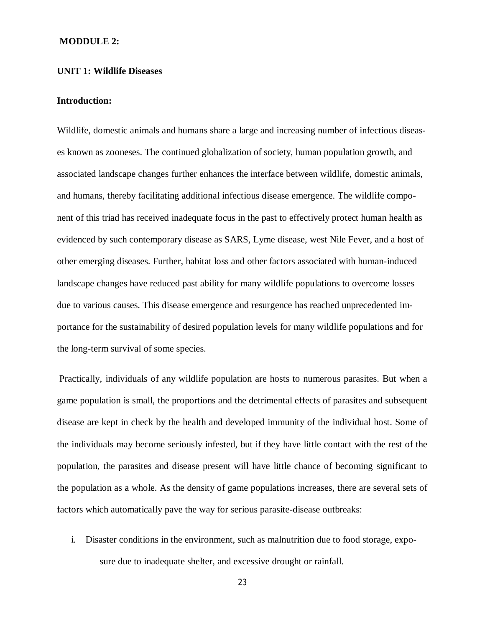### **MODDULE 2:**

### **UNIT 1: Wildlife Diseases**

### **Introduction:**

Wildlife, domestic animals and humans share a large and increasing number of infectious diseases known as zooneses. The continued globalization of society, human population growth, and associated landscape changes further enhances the interface between wildlife, domestic animals, and humans, thereby facilitating additional infectious disease emergence. The wildlife component of this triad has received inadequate focus in the past to effectively protect human health as evidenced by such contemporary disease as SARS, Lyme disease, west Nile Fever, and a host of other emerging diseases. Further, habitat loss and other factors associated with human-induced landscape changes have reduced past ability for many wildlife populations to overcome losses due to various causes. This disease emergence and resurgence has reached unprecedented importance for the sustainability of desired population levels for many wildlife populations and for the long-term survival of some species.

Practically, individuals of any wildlife population are hosts to numerous parasites. But when a game population is small, the proportions and the detrimental effects of parasites and subsequent disease are kept in check by the health and developed immunity of the individual host. Some of the individuals may become seriously infested, but if they have little contact with the rest of the population, the parasites and disease present will have little chance of becoming significant to the population as a whole. As the density of game populations increases, there are several sets of factors which automatically pave the way for serious parasite-disease outbreaks:

i. Disaster conditions in the environment, such as malnutrition due to food storage, exposure due to inadequate shelter, and excessive drought or rainfall.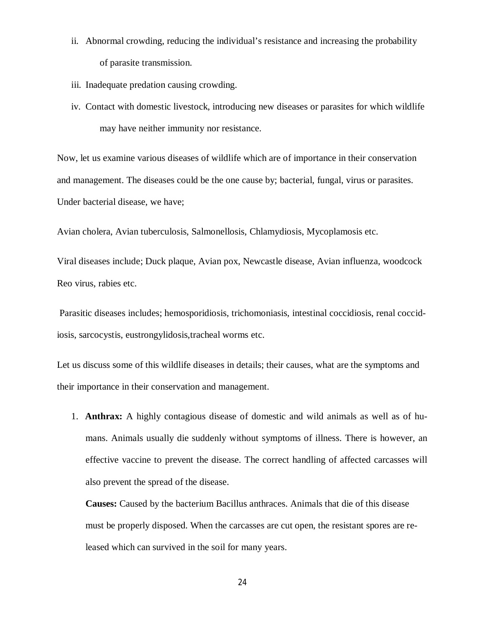- ii. Abnormal crowding, reducing the individual's resistance and increasing the probability of parasite transmission.
- iii. Inadequate predation causing crowding.
- iv. Contact with domestic livestock, introducing new diseases or parasites for which wildlife may have neither immunity nor resistance.

Now, let us examine various diseases of wildlife which are of importance in their conservation and management. The diseases could be the one cause by; bacterial, fungal, virus or parasites. Under bacterial disease, we have;

Avian cholera, Avian tuberculosis, Salmonellosis, Chlamydiosis, Mycoplamosis etc.

Viral diseases include; Duck plaque, Avian pox, Newcastle disease, Avian influenza, woodcock Reo virus, rabies etc.

Parasitic diseases includes; hemosporidiosis, trichomoniasis, intestinal coccidiosis, renal coccidiosis, sarcocystis, eustrongylidosis,tracheal worms etc.

Let us discuss some of this wildlife diseases in details; their causes, what are the symptoms and their importance in their conservation and management.

1. **Anthrax:** A highly contagious disease of domestic and wild animals as well as of humans. Animals usually die suddenly without symptoms of illness. There is however, an effective vaccine to prevent the disease. The correct handling of affected carcasses will also prevent the spread of the disease.

**Causes:** Caused by the bacterium Bacillus anthraces. Animals that die of this disease must be properly disposed. When the carcasses are cut open, the resistant spores are released which can survived in the soil for many years.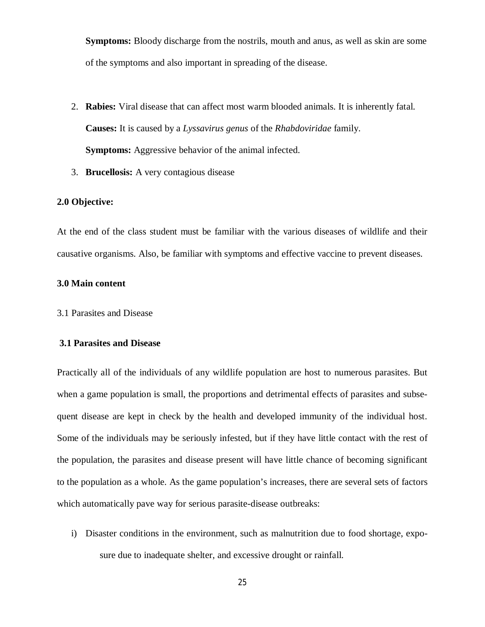**Symptoms:** Bloody discharge from the nostrils, mouth and anus, as well as skin are some of the symptoms and also important in spreading of the disease.

- 2. **Rabies:** Viral disease that can affect most warm blooded animals. It is inherently fatal. **Causes:** It is caused by a *Lyssavirus genus* of the *Rhabdoviridae* family. **Symptoms:** Aggressive behavior of the animal infected.
- 3. **Brucellosis:** A very contagious disease

### **2.0 Objective:**

At the end of the class student must be familiar with the various diseases of wildlife and their causative organisms. Also, be familiar with symptoms and effective vaccine to prevent diseases.

#### **3.0 Main content**

3.1 Parasites and Disease

#### **3.1 Parasites and Disease**

Practically all of the individuals of any wildlife population are host to numerous parasites. But when a game population is small, the proportions and detrimental effects of parasites and subsequent disease are kept in check by the health and developed immunity of the individual host. Some of the individuals may be seriously infested, but if they have little contact with the rest of the population, the parasites and disease present will have little chance of becoming significant to the population as a whole. As the game population's increases, there are several sets of factors which automatically pave way for serious parasite-disease outbreaks:

i) Disaster conditions in the environment, such as malnutrition due to food shortage, exposure due to inadequate shelter, and excessive drought or rainfall.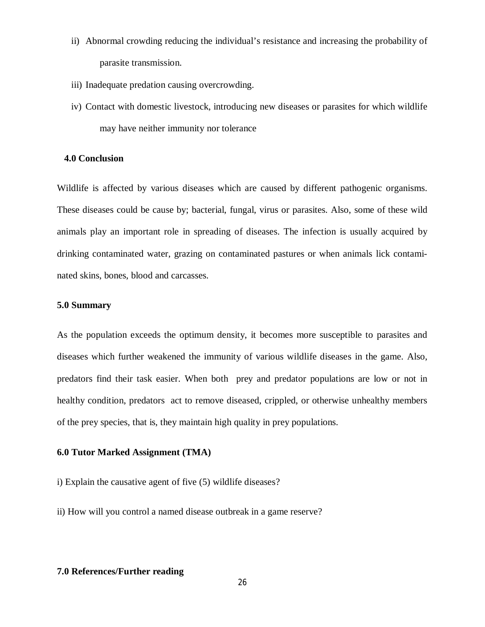- ii) Abnormal crowding reducing the individual's resistance and increasing the probability of parasite transmission.
- iii) Inadequate predation causing overcrowding.
- iv) Contact with domestic livestock, introducing new diseases or parasites for which wildlife may have neither immunity nor tolerance

### **4.0 Conclusion**

Wildlife is affected by various diseases which are caused by different pathogenic organisms. These diseases could be cause by; bacterial, fungal, virus or parasites. Also, some of these wild animals play an important role in spreading of diseases. The infection is usually acquired by drinking contaminated water, grazing on contaminated pastures or when animals lick contaminated skins, bones, blood and carcasses.

### **5.0 Summary**

As the population exceeds the optimum density, it becomes more susceptible to parasites and diseases which further weakened the immunity of various wildlife diseases in the game. Also, predators find their task easier. When both prey and predator populations are low or not in healthy condition, predators act to remove diseased, crippled, or otherwise unhealthy members of the prey species, that is, they maintain high quality in prey populations.

### **6.0 Tutor Marked Assignment (TMA)**

i) Explain the causative agent of five (5) wildlife diseases?

ii) How will you control a named disease outbreak in a game reserve?

### **7.0 References/Further reading**

26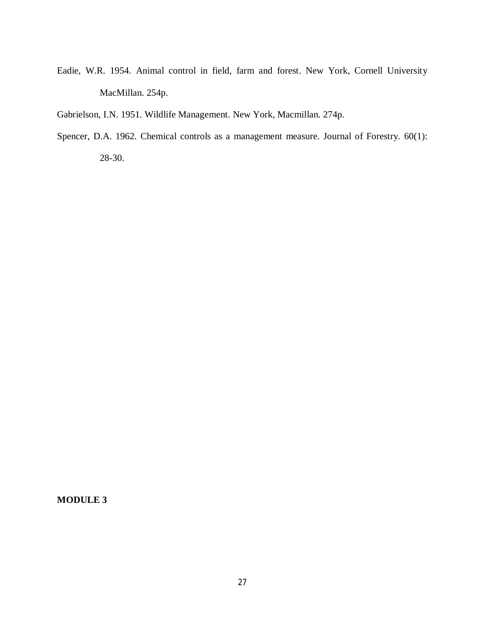- Eadie, W.R. 1954. Animal control in field, farm and forest. New York, Cornell University MacMillan. 254p.
- Gabrielson, I.N. 1951. Wildlife Management. New York, Macmillan. 274p.
- Spencer, D.A. 1962. Chemical controls as a management measure. Journal of Forestry. 60(1): 28-30.

### **MODULE 3**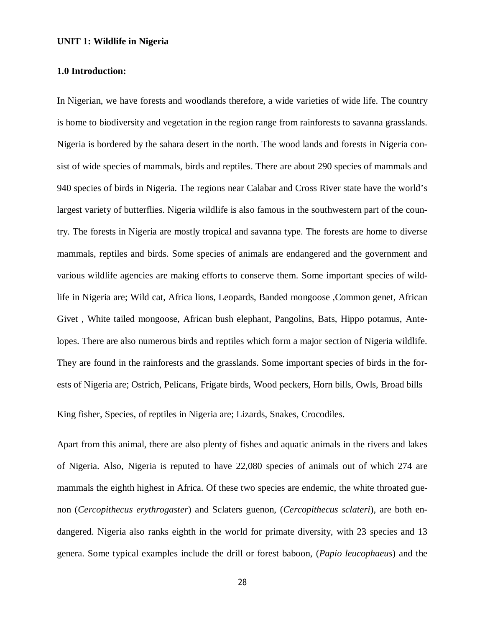### **UNIT 1: Wildlife in Nigeria**

### **1.0 Introduction:**

In Nigerian, we have forests and woodlands therefore, a wide varieties of wide life. The country is home to biodiversity and vegetation in the region range from rainforests to savanna grasslands. Nigeria is bordered by the sahara desert in the north. The wood lands and forests in Nigeria consist of wide species of mammals, birds and reptiles. There are about 290 species of mammals and 940 species of birds in Nigeria. The regions near Calabar and Cross River state have the world's largest variety of butterflies. Nigeria wildlife is also famous in the southwestern part of the country. The forests in Nigeria are mostly tropical and savanna type. The forests are home to diverse mammals, reptiles and birds. Some species of animals are endangered and the government and various wildlife agencies are making efforts to conserve them. Some important species of wildlife in Nigeria are; Wild cat, Africa lions, Leopards, Banded mongoose ,Common genet, African Givet , White tailed mongoose, African bush elephant, Pangolins, Bats, Hippo potamus, Antelopes. There are also numerous birds and reptiles which form a major section of Nigeria wildlife. They are found in the rainforests and the grasslands. Some important species of birds in the forests of Nigeria are; Ostrich, Pelicans, Frigate birds, Wood peckers, Horn bills, Owls, Broad bills

King fisher, Species, of reptiles in Nigeria are; Lizards, Snakes, Crocodiles.

Apart from this animal, there are also plenty of fishes and aquatic animals in the rivers and lakes of Nigeria. Also, Nigeria is reputed to have 22,080 species of animals out of which 274 are mammals the eighth highest in Africa. Of these two species are endemic, the white throated guenon (*Cercopithecus erythrogaster*) and Sclaters guenon, (*Cercopithecus sclateri*), are both endangered. Nigeria also ranks eighth in the world for primate diversity, with 23 species and 13 genera. Some typical examples include the drill or forest baboon, (*Papio leucophaeus*) and the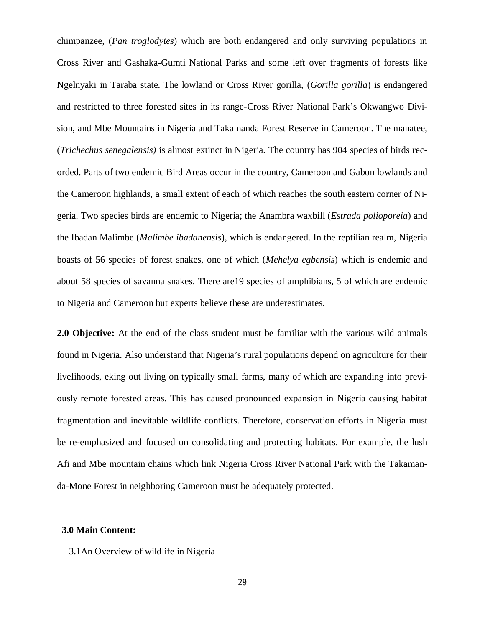chimpanzee, (*Pan troglodytes*) which are both endangered and only surviving populations in Cross River and Gashaka-Gumti National Parks and some left over fragments of forests like Ngelnyaki in Taraba state. The lowland or Cross River gorilla, (*Gorilla gorilla*) is endangered and restricted to three forested sites in its range-Cross River National Park's Okwangwo Division, and Mbe Mountains in Nigeria and Takamanda Forest Reserve in Cameroon. The manatee, (*Trichechus senegalensis)* is almost extinct in Nigeria. The country has 904 species of birds recorded. Parts of two endemic Bird Areas occur in the country, Cameroon and Gabon lowlands and the Cameroon highlands, a small extent of each of which reaches the south eastern corner of Nigeria. Two species birds are endemic to Nigeria; the Anambra waxbill (*Estrada polioporeia*) and the Ibadan Malimbe (*Malimbe ibadanensis*), which is endangered. In the reptilian realm, Nigeria boasts of 56 species of forest snakes, one of which (*Mehelya egbensis*) which is endemic and about 58 species of savanna snakes. There are19 species of amphibians, 5 of which are endemic to Nigeria and Cameroon but experts believe these are underestimates.

**2.0 Objective:** At the end of the class student must be familiar with the various wild animals found in Nigeria. Also understand that Nigeria's rural populations depend on agriculture for their livelihoods, eking out living on typically small farms, many of which are expanding into previously remote forested areas. This has caused pronounced expansion in Nigeria causing habitat fragmentation and inevitable wildlife conflicts. Therefore, conservation efforts in Nigeria must be re-emphasized and focused on consolidating and protecting habitats. For example, the lush Afi and Mbe mountain chains which link Nigeria Cross River National Park with the Takamanda-Mone Forest in neighboring Cameroon must be adequately protected.

### **3.0 Main Content:**

3.1An Overview of wildlife in Nigeria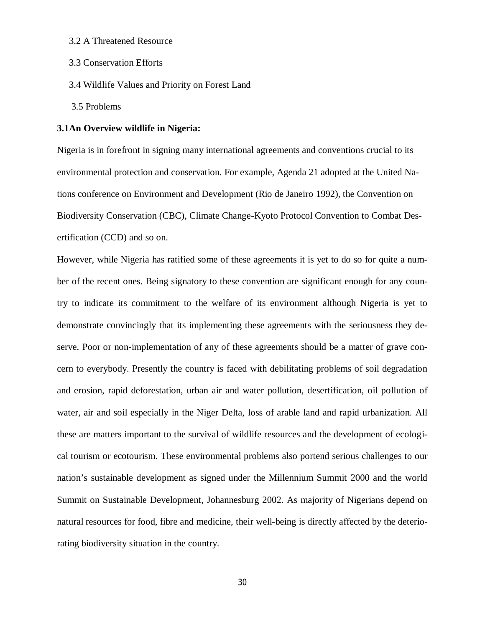- 3.2 A Threatened Resource
- 3.3 Conservation Efforts
- 3.4 Wildlife Values and Priority on Forest Land
- 3.5 Problems

#### **3.1An Overview wildlife in Nigeria:**

Nigeria is in forefront in signing many international agreements and conventions crucial to its environmental protection and conservation. For example, Agenda 21 adopted at the United Nations conference on Environment and Development (Rio de Janeiro 1992), the Convention on Biodiversity Conservation (CBC), Climate Change-Kyoto Protocol Convention to Combat Desertification (CCD) and so on.

However, while Nigeria has ratified some of these agreements it is yet to do so for quite a number of the recent ones. Being signatory to these convention are significant enough for any country to indicate its commitment to the welfare of its environment although Nigeria is yet to demonstrate convincingly that its implementing these agreements with the seriousness they deserve. Poor or non-implementation of any of these agreements should be a matter of grave concern to everybody. Presently the country is faced with debilitating problems of soil degradation and erosion, rapid deforestation, urban air and water pollution, desertification, oil pollution of water, air and soil especially in the Niger Delta, loss of arable land and rapid urbanization. All these are matters important to the survival of wildlife resources and the development of ecological tourism or ecotourism. These environmental problems also portend serious challenges to our nation's sustainable development as signed under the Millennium Summit 2000 and the world Summit on Sustainable Development, Johannesburg 2002. As majority of Nigerians depend on natural resources for food, fibre and medicine, their well-being is directly affected by the deteriorating biodiversity situation in the country.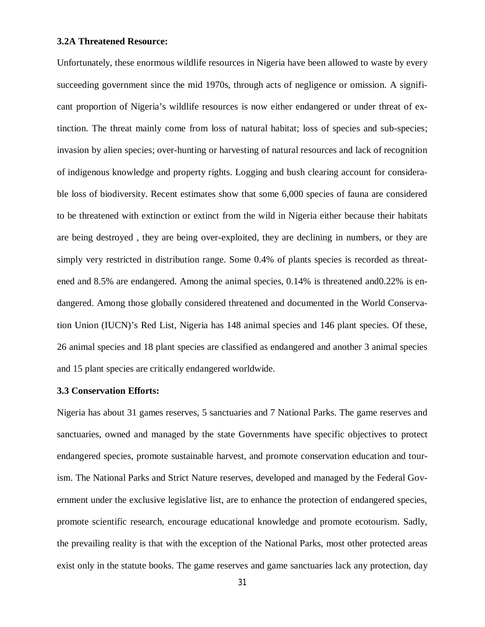### **3.2A Threatened Resource:**

Unfortunately, these enormous wildlife resources in Nigeria have been allowed to waste by every succeeding government since the mid 1970s, through acts of negligence or omission. A significant proportion of Nigeria's wildlife resources is now either endangered or under threat of extinction. The threat mainly come from loss of natural habitat; loss of species and sub-species; invasion by alien species; over-hunting or harvesting of natural resources and lack of recognition of indigenous knowledge and property rights. Logging and bush clearing account for considerable loss of biodiversity. Recent estimates show that some 6,000 species of fauna are considered to be threatened with extinction or extinct from the wild in Nigeria either because their habitats are being destroyed , they are being over-exploited, they are declining in numbers, or they are simply very restricted in distribution range. Some 0.4% of plants species is recorded as threatened and 8.5% are endangered. Among the animal species, 0.14% is threatened and0.22% is endangered. Among those globally considered threatened and documented in the World Conservation Union (IUCN)'s Red List, Nigeria has 148 animal species and 146 plant species. Of these, 26 animal species and 18 plant species are classified as endangered and another 3 animal species and 15 plant species are critically endangered worldwide.

#### **3.3 Conservation Efforts:**

Nigeria has about 31 games reserves, 5 sanctuaries and 7 National Parks. The game reserves and sanctuaries, owned and managed by the state Governments have specific objectives to protect endangered species, promote sustainable harvest, and promote conservation education and tourism. The National Parks and Strict Nature reserves, developed and managed by the Federal Government under the exclusive legislative list, are to enhance the protection of endangered species, promote scientific research, encourage educational knowledge and promote ecotourism. Sadly, the prevailing reality is that with the exception of the National Parks, most other protected areas exist only in the statute books. The game reserves and game sanctuaries lack any protection, day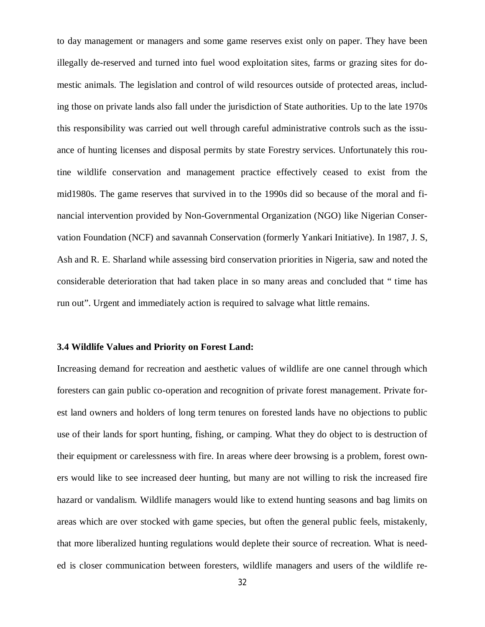to day management or managers and some game reserves exist only on paper. They have been illegally de-reserved and turned into fuel wood exploitation sites, farms or grazing sites for domestic animals. The legislation and control of wild resources outside of protected areas, including those on private lands also fall under the jurisdiction of State authorities. Up to the late 1970s this responsibility was carried out well through careful administrative controls such as the issuance of hunting licenses and disposal permits by state Forestry services. Unfortunately this routine wildlife conservation and management practice effectively ceased to exist from the mid1980s. The game reserves that survived in to the 1990s did so because of the moral and financial intervention provided by Non-Governmental Organization (NGO) like Nigerian Conservation Foundation (NCF) and savannah Conservation (formerly Yankari Initiative). In 1987, J. S, Ash and R. E. Sharland while assessing bird conservation priorities in Nigeria, saw and noted the considerable deterioration that had taken place in so many areas and concluded that " time has run out". Urgent and immediately action is required to salvage what little remains.

#### **3.4 Wildlife Values and Priority on Forest Land:**

Increasing demand for recreation and aesthetic values of wildlife are one cannel through which foresters can gain public co-operation and recognition of private forest management. Private forest land owners and holders of long term tenures on forested lands have no objections to public use of their lands for sport hunting, fishing, or camping. What they do object to is destruction of their equipment or carelessness with fire. In areas where deer browsing is a problem, forest owners would like to see increased deer hunting, but many are not willing to risk the increased fire hazard or vandalism. Wildlife managers would like to extend hunting seasons and bag limits on areas which are over stocked with game species, but often the general public feels, mistakenly, that more liberalized hunting regulations would deplete their source of recreation. What is needed is closer communication between foresters, wildlife managers and users of the wildlife re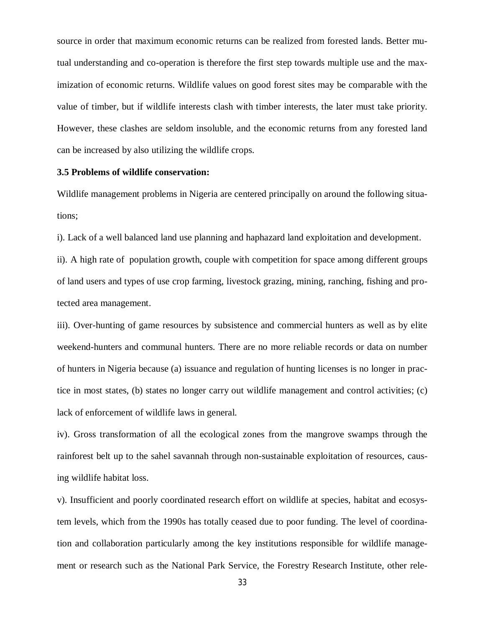source in order that maximum economic returns can be realized from forested lands. Better mutual understanding and co-operation is therefore the first step towards multiple use and the maximization of economic returns. Wildlife values on good forest sites may be comparable with the value of timber, but if wildlife interests clash with timber interests, the later must take priority. However, these clashes are seldom insoluble, and the economic returns from any forested land can be increased by also utilizing the wildlife crops.

#### **3.5 Problems of wildlife conservation:**

Wildlife management problems in Nigeria are centered principally on around the following situations;

i). Lack of a well balanced land use planning and haphazard land exploitation and development.

ii). A high rate of population growth, couple with competition for space among different groups of land users and types of use crop farming, livestock grazing, mining, ranching, fishing and protected area management.

iii). Over-hunting of game resources by subsistence and commercial hunters as well as by elite weekend-hunters and communal hunters. There are no more reliable records or data on number of hunters in Nigeria because (a) issuance and regulation of hunting licenses is no longer in practice in most states, (b) states no longer carry out wildlife management and control activities; (c) lack of enforcement of wildlife laws in general.

iv). Gross transformation of all the ecological zones from the mangrove swamps through the rainforest belt up to the sahel savannah through non-sustainable exploitation of resources, causing wildlife habitat loss.

v). Insufficient and poorly coordinated research effort on wildlife at species, habitat and ecosystem levels, which from the 1990s has totally ceased due to poor funding. The level of coordination and collaboration particularly among the key institutions responsible for wildlife management or research such as the National Park Service, the Forestry Research Institute, other rele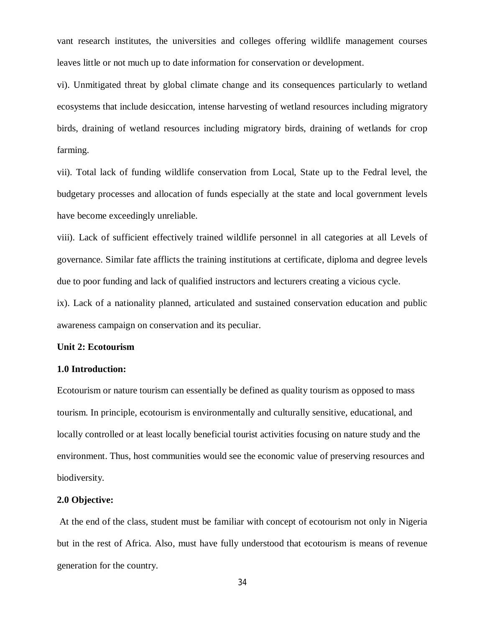vant research institutes, the universities and colleges offering wildlife management courses leaves little or not much up to date information for conservation or development.

vi). Unmitigated threat by global climate change and its consequences particularly to wetland ecosystems that include desiccation, intense harvesting of wetland resources including migratory birds, draining of wetland resources including migratory birds, draining of wetlands for crop farming.

vii). Total lack of funding wildlife conservation from Local, State up to the Fedral level, the budgetary processes and allocation of funds especially at the state and local government levels have become exceedingly unreliable.

viii). Lack of sufficient effectively trained wildlife personnel in all categories at all Levels of governance. Similar fate afflicts the training institutions at certificate, diploma and degree levels due to poor funding and lack of qualified instructors and lecturers creating a vicious cycle.

ix). Lack of a nationality planned, articulated and sustained conservation education and public awareness campaign on conservation and its peculiar.

#### **Unit 2: Ecotourism**

### **1.0 Introduction:**

Ecotourism or nature tourism can essentially be defined as quality tourism as opposed to mass tourism. In principle, ecotourism is environmentally and culturally sensitive, educational, and locally controlled or at least locally beneficial tourist activities focusing on nature study and the environment. Thus, host communities would see the economic value of preserving resources and biodiversity.

#### **2.0 Objective:**

At the end of the class, student must be familiar with concept of ecotourism not only in Nigeria but in the rest of Africa. Also, must have fully understood that ecotourism is means of revenue generation for the country.

34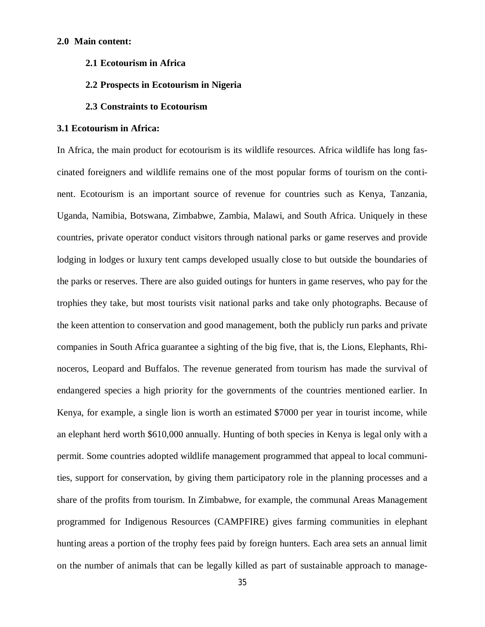#### **2.0 Main content:**

**2.1 Ecotourism in Africa**

#### **2.2 Prospects in Ecotourism in Nigeria**

#### **2.3 Constraints to Ecotourism**

#### **3.1 Ecotourism in Africa:**

In Africa, the main product for ecotourism is its wildlife resources. Africa wildlife has long fascinated foreigners and wildlife remains one of the most popular forms of tourism on the continent. Ecotourism is an important source of revenue for countries such as Kenya, Tanzania, Uganda, Namibia, Botswana, Zimbabwe, Zambia, Malawi, and South Africa. Uniquely in these countries, private operator conduct visitors through national parks or game reserves and provide lodging in lodges or luxury tent camps developed usually close to but outside the boundaries of the parks or reserves. There are also guided outings for hunters in game reserves, who pay for the trophies they take, but most tourists visit national parks and take only photographs. Because of the keen attention to conservation and good management, both the publicly run parks and private companies in South Africa guarantee a sighting of the big five, that is, the Lions, Elephants, Rhinoceros, Leopard and Buffalos. The revenue generated from tourism has made the survival of endangered species a high priority for the governments of the countries mentioned earlier. In Kenya, for example, a single lion is worth an estimated \$7000 per year in tourist income, while an elephant herd worth \$610,000 annually. Hunting of both species in Kenya is legal only with a permit. Some countries adopted wildlife management programmed that appeal to local communities, support for conservation, by giving them participatory role in the planning processes and a share of the profits from tourism. In Zimbabwe, for example, the communal Areas Management programmed for Indigenous Resources (CAMPFIRE) gives farming communities in elephant hunting areas a portion of the trophy fees paid by foreign hunters. Each area sets an annual limit on the number of animals that can be legally killed as part of sustainable approach to manage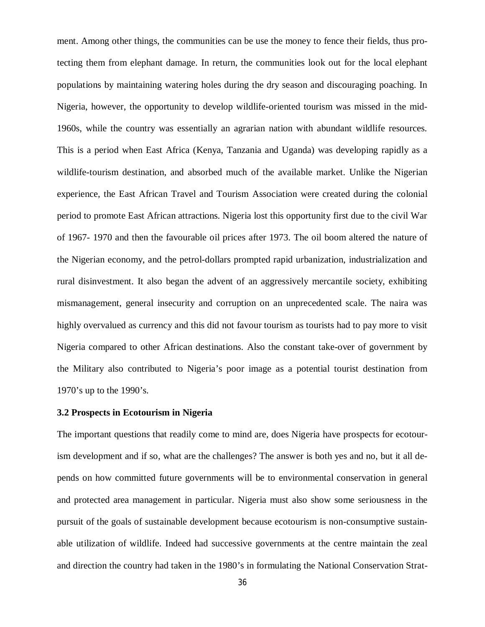ment. Among other things, the communities can be use the money to fence their fields, thus protecting them from elephant damage. In return, the communities look out for the local elephant populations by maintaining watering holes during the dry season and discouraging poaching. In Nigeria, however, the opportunity to develop wildlife-oriented tourism was missed in the mid-1960s, while the country was essentially an agrarian nation with abundant wildlife resources. This is a period when East Africa (Kenya, Tanzania and Uganda) was developing rapidly as a wildlife-tourism destination, and absorbed much of the available market. Unlike the Nigerian experience, the East African Travel and Tourism Association were created during the colonial period to promote East African attractions. Nigeria lost this opportunity first due to the civil War of 1967- 1970 and then the favourable oil prices after 1973. The oil boom altered the nature of the Nigerian economy, and the petrol-dollars prompted rapid urbanization, industrialization and rural disinvestment. It also began the advent of an aggressively mercantile society, exhibiting mismanagement, general insecurity and corruption on an unprecedented scale. The naira was highly overvalued as currency and this did not favour tourism as tourists had to pay more to visit Nigeria compared to other African destinations. Also the constant take-over of government by the Military also contributed to Nigeria's poor image as a potential tourist destination from 1970's up to the 1990's.

#### **3.2 Prospects in Ecotourism in Nigeria**

The important questions that readily come to mind are, does Nigeria have prospects for ecotourism development and if so, what are the challenges? The answer is both yes and no, but it all depends on how committed future governments will be to environmental conservation in general and protected area management in particular. Nigeria must also show some seriousness in the pursuit of the goals of sustainable development because ecotourism is non-consumptive sustainable utilization of wildlife. Indeed had successive governments at the centre maintain the zeal and direction the country had taken in the 1980's in formulating the National Conservation Strat-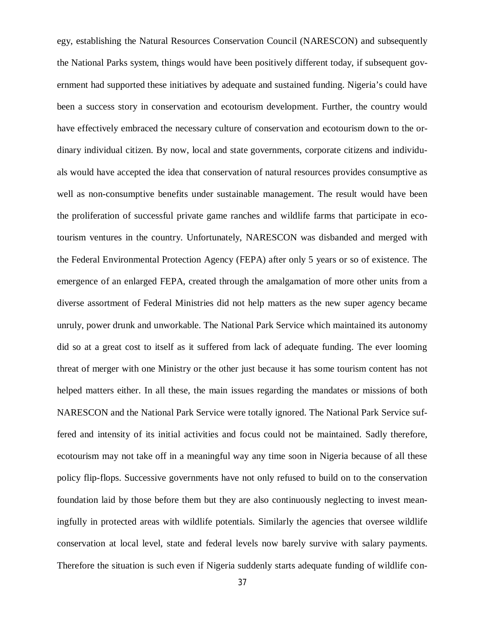egy, establishing the Natural Resources Conservation Council (NARESCON) and subsequently the National Parks system, things would have been positively different today, if subsequent government had supported these initiatives by adequate and sustained funding. Nigeria's could have been a success story in conservation and ecotourism development. Further, the country would have effectively embraced the necessary culture of conservation and ecotourism down to the ordinary individual citizen. By now, local and state governments, corporate citizens and individuals would have accepted the idea that conservation of natural resources provides consumptive as well as non-consumptive benefits under sustainable management. The result would have been the proliferation of successful private game ranches and wildlife farms that participate in ecotourism ventures in the country. Unfortunately, NARESCON was disbanded and merged with the Federal Environmental Protection Agency (FEPA) after only 5 years or so of existence. The emergence of an enlarged FEPA, created through the amalgamation of more other units from a diverse assortment of Federal Ministries did not help matters as the new super agency became unruly, power drunk and unworkable. The National Park Service which maintained its autonomy did so at a great cost to itself as it suffered from lack of adequate funding. The ever looming threat of merger with one Ministry or the other just because it has some tourism content has not helped matters either. In all these, the main issues regarding the mandates or missions of both NARESCON and the National Park Service were totally ignored. The National Park Service suffered and intensity of its initial activities and focus could not be maintained. Sadly therefore, ecotourism may not take off in a meaningful way any time soon in Nigeria because of all these policy flip-flops. Successive governments have not only refused to build on to the conservation foundation laid by those before them but they are also continuously neglecting to invest meaningfully in protected areas with wildlife potentials. Similarly the agencies that oversee wildlife conservation at local level, state and federal levels now barely survive with salary payments. Therefore the situation is such even if Nigeria suddenly starts adequate funding of wildlife con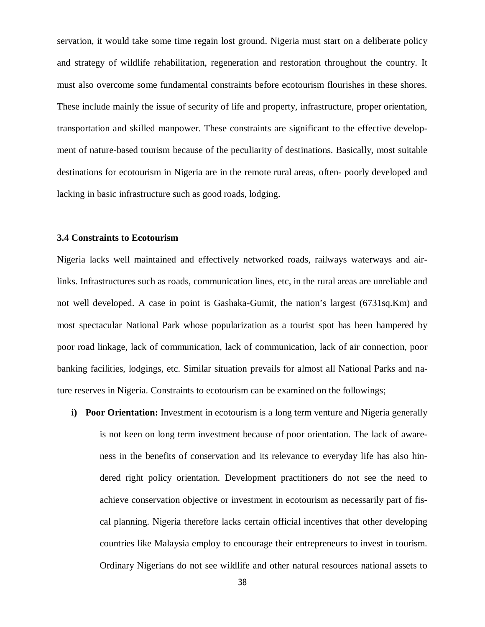servation, it would take some time regain lost ground. Nigeria must start on a deliberate policy and strategy of wildlife rehabilitation, regeneration and restoration throughout the country. It must also overcome some fundamental constraints before ecotourism flourishes in these shores. These include mainly the issue of security of life and property, infrastructure, proper orientation, transportation and skilled manpower. These constraints are significant to the effective development of nature-based tourism because of the peculiarity of destinations. Basically, most suitable destinations for ecotourism in Nigeria are in the remote rural areas, often- poorly developed and lacking in basic infrastructure such as good roads, lodging.

#### **3.4 Constraints to Ecotourism**

Nigeria lacks well maintained and effectively networked roads, railways waterways and airlinks. Infrastructures such as roads, communication lines, etc, in the rural areas are unreliable and not well developed. A case in point is Gashaka-Gumit, the nation's largest (6731sq.Km) and most spectacular National Park whose popularization as a tourist spot has been hampered by poor road linkage, lack of communication, lack of communication, lack of air connection, poor banking facilities, lodgings, etc. Similar situation prevails for almost all National Parks and nature reserves in Nigeria. Constraints to ecotourism can be examined on the followings;

**i) Poor Orientation:** Investment in ecotourism is a long term venture and Nigeria generally is not keen on long term investment because of poor orientation. The lack of awareness in the benefits of conservation and its relevance to everyday life has also hindered right policy orientation. Development practitioners do not see the need to achieve conservation objective or investment in ecotourism as necessarily part of fiscal planning. Nigeria therefore lacks certain official incentives that other developing countries like Malaysia employ to encourage their entrepreneurs to invest in tourism. Ordinary Nigerians do not see wildlife and other natural resources national assets to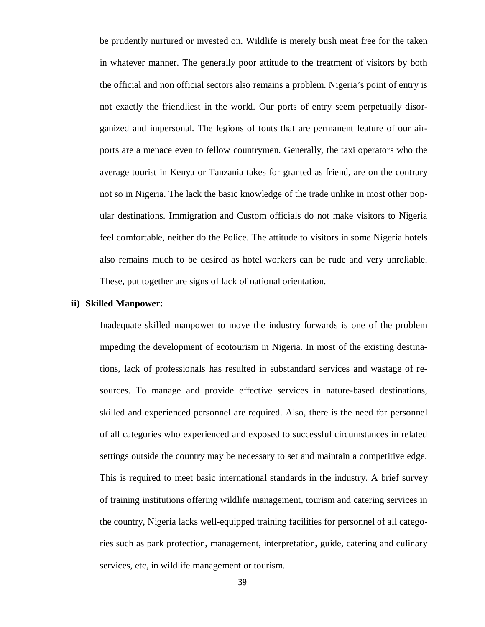be prudently nurtured or invested on. Wildlife is merely bush meat free for the taken in whatever manner. The generally poor attitude to the treatment of visitors by both the official and non official sectors also remains a problem. Nigeria's point of entry is not exactly the friendliest in the world. Our ports of entry seem perpetually disorganized and impersonal. The legions of touts that are permanent feature of our airports are a menace even to fellow countrymen. Generally, the taxi operators who the average tourist in Kenya or Tanzania takes for granted as friend, are on the contrary not so in Nigeria. The lack the basic knowledge of the trade unlike in most other popular destinations. Immigration and Custom officials do not make visitors to Nigeria feel comfortable, neither do the Police. The attitude to visitors in some Nigeria hotels also remains much to be desired as hotel workers can be rude and very unreliable. These, put together are signs of lack of national orientation.

#### **ii) Skilled Manpower:**

Inadequate skilled manpower to move the industry forwards is one of the problem impeding the development of ecotourism in Nigeria. In most of the existing destinations, lack of professionals has resulted in substandard services and wastage of resources. To manage and provide effective services in nature-based destinations, skilled and experienced personnel are required. Also, there is the need for personnel of all categories who experienced and exposed to successful circumstances in related settings outside the country may be necessary to set and maintain a competitive edge. This is required to meet basic international standards in the industry. A brief survey of training institutions offering wildlife management, tourism and catering services in the country, Nigeria lacks well-equipped training facilities for personnel of all categories such as park protection, management, interpretation, guide, catering and culinary services, etc, in wildlife management or tourism.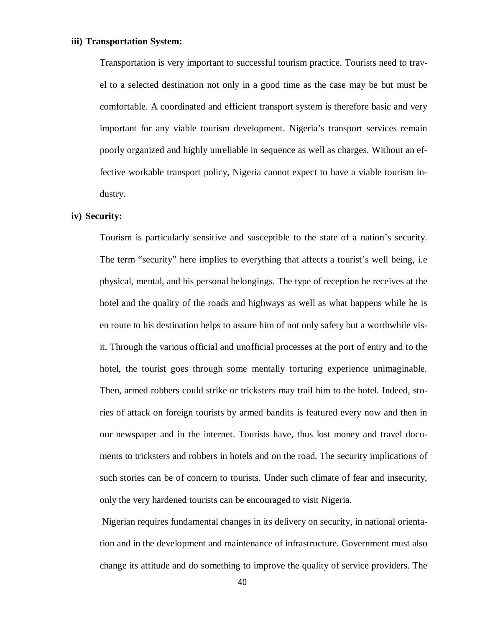#### **iii) Transportation System:**

Transportation is very important to successful tourism practice. Tourists need to travel to a selected destination not only in a good time as the case may be but must be comfortable. A coordinated and efficient transport system is therefore basic and very important for any viable tourism development. Nigeria's transport services remain poorly organized and highly unreliable in sequence as well as charges. Without an effective workable transport policy, Nigeria cannot expect to have a viable tourism industry.

### **iv) Security:**

Tourism is particularly sensitive and susceptible to the state of a nation's security. The term "security" here implies to everything that affects a tourist's well being, i.e physical, mental, and his personal belongings. The type of reception he receives at the hotel and the quality of the roads and highways as well as what happens while he is en route to his destination helps to assure him of not only safety but a worthwhile visit. Through the various official and unofficial processes at the port of entry and to the hotel, the tourist goes through some mentally torturing experience unimaginable. Then, armed robbers could strike or tricksters may trail him to the hotel. Indeed, stories of attack on foreign tourists by armed bandits is featured every now and then in our newspaper and in the internet. Tourists have, thus lost money and travel documents to tricksters and robbers in hotels and on the road. The security implications of such stories can be of concern to tourists. Under such climate of fear and insecurity, only the very hardened tourists can be encouraged to visit Nigeria.

Nigerian requires fundamental changes in its delivery on security, in national orientation and in the development and maintenance of infrastructure. Government must also change its attitude and do something to improve the quality of service providers. The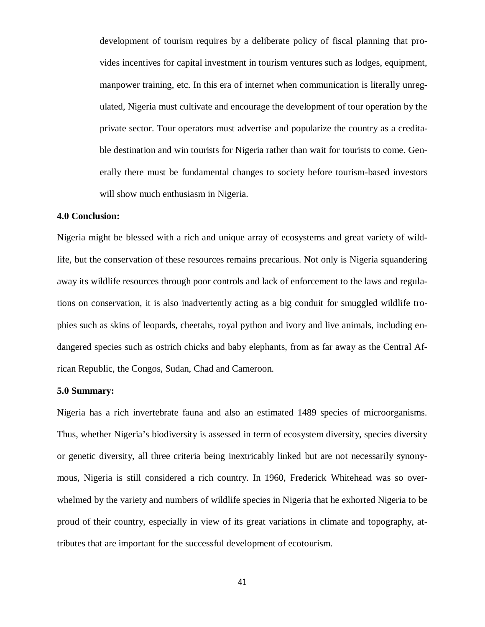development of tourism requires by a deliberate policy of fiscal planning that provides incentives for capital investment in tourism ventures such as lodges, equipment, manpower training, etc. In this era of internet when communication is literally unregulated, Nigeria must cultivate and encourage the development of tour operation by the private sector. Tour operators must advertise and popularize the country as a creditable destination and win tourists for Nigeria rather than wait for tourists to come. Generally there must be fundamental changes to society before tourism-based investors will show much enthusiasm in Nigeria.

#### **4.0 Conclusion:**

Nigeria might be blessed with a rich and unique array of ecosystems and great variety of wildlife, but the conservation of these resources remains precarious. Not only is Nigeria squandering away its wildlife resources through poor controls and lack of enforcement to the laws and regulations on conservation, it is also inadvertently acting as a big conduit for smuggled wildlife trophies such as skins of leopards, cheetahs, royal python and ivory and live animals, including endangered species such as ostrich chicks and baby elephants, from as far away as the Central African Republic, the Congos, Sudan, Chad and Cameroon.

#### **5.0 Summary:**

Nigeria has a rich invertebrate fauna and also an estimated 1489 species of microorganisms. Thus, whether Nigeria's biodiversity is assessed in term of ecosystem diversity, species diversity or genetic diversity, all three criteria being inextricably linked but are not necessarily synonymous, Nigeria is still considered a rich country. In 1960, Frederick Whitehead was so overwhelmed by the variety and numbers of wildlife species in Nigeria that he exhorted Nigeria to be proud of their country, especially in view of its great variations in climate and topography, attributes that are important for the successful development of ecotourism.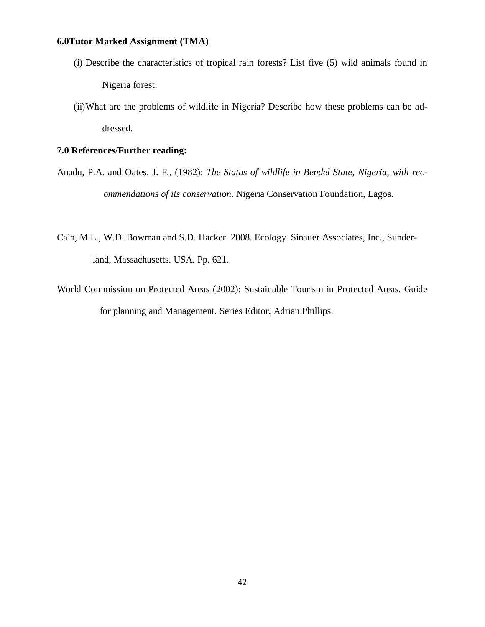## **6.0Tutor Marked Assignment (TMA)**

- (i) Describe the characteristics of tropical rain forests? List five (5) wild animals found in Nigeria forest.
- (ii)What are the problems of wildlife in Nigeria? Describe how these problems can be addressed.

## **7.0 References/Further reading:**

- Anadu, P.A. and Oates, J. F., (1982): *The Status of wildlife in Bendel State*, *Nigeria, with recommendations of its conservation*. Nigeria Conservation Foundation, Lagos.
- Cain, M.L., W.D. Bowman and S.D. Hacker. 2008. Ecology. Sinauer Associates, Inc., Sunderland, Massachusetts. USA. Pp. 621.
- World Commission on Protected Areas (2002): Sustainable Tourism in Protected Areas. Guide for planning and Management. Series Editor, Adrian Phillips.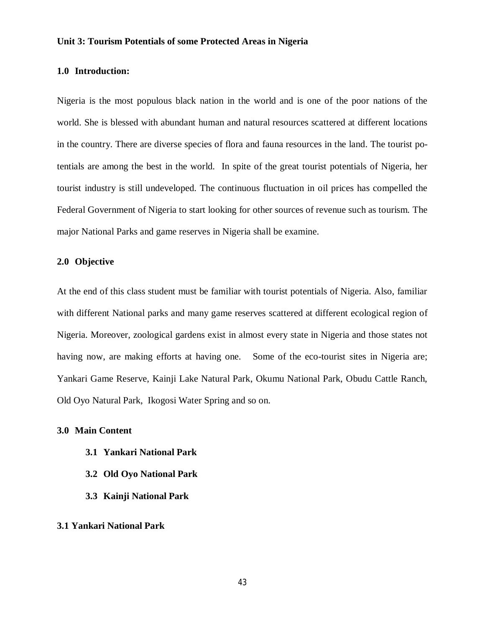#### **Unit 3: Tourism Potentials of some Protected Areas in Nigeria**

### **1.0 Introduction:**

Nigeria is the most populous black nation in the world and is one of the poor nations of the world. She is blessed with abundant human and natural resources scattered at different locations in the country. There are diverse species of flora and fauna resources in the land. The tourist potentials are among the best in the world. In spite of the great tourist potentials of Nigeria, her tourist industry is still undeveloped. The continuous fluctuation in oil prices has compelled the Federal Government of Nigeria to start looking for other sources of revenue such as tourism. The major National Parks and game reserves in Nigeria shall be examine.

## **2.0 Objective**

At the end of this class student must be familiar with tourist potentials of Nigeria. Also, familiar with different National parks and many game reserves scattered at different ecological region of Nigeria. Moreover, zoological gardens exist in almost every state in Nigeria and those states not having now, are making efforts at having one. Some of the eco-tourist sites in Nigeria are; Yankari Game Reserve, Kainji Lake Natural Park, Okumu National Park, Obudu Cattle Ranch, Old Oyo Natural Park, Ikogosi Water Spring and so on.

### **3.0 Main Content**

- **3.1 Yankari National Park**
- **3.2 Old Oyo National Park**
- **3.3 Kainji National Park**

#### **3.1 Yankari National Park**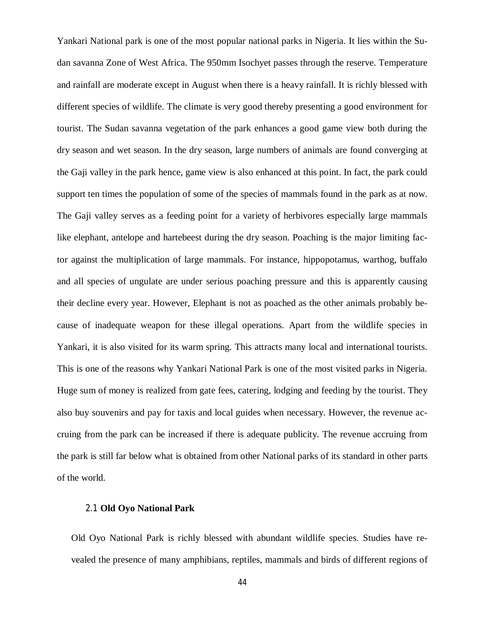Yankari National park is one of the most popular national parks in Nigeria. It lies within the Sudan savanna Zone of West Africa. The 950mm Isochyet passes through the reserve. Temperature and rainfall are moderate except in August when there is a heavy rainfall. It is richly blessed with different species of wildlife. The climate is very good thereby presenting a good environment for tourist. The Sudan savanna vegetation of the park enhances a good game view both during the dry season and wet season. In the dry season, large numbers of animals are found converging at the Gaji valley in the park hence, game view is also enhanced at this point. In fact, the park could support ten times the population of some of the species of mammals found in the park as at now. The Gaji valley serves as a feeding point for a variety of herbivores especially large mammals like elephant, antelope and hartebeest during the dry season. Poaching is the major limiting factor against the multiplication of large mammals. For instance, hippopotamus, warthog, buffalo and all species of ungulate are under serious poaching pressure and this is apparently causing their decline every year. However, Elephant is not as poached as the other animals probably because of inadequate weapon for these illegal operations. Apart from the wildlife species in Yankari, it is also visited for its warm spring. This attracts many local and international tourists. This is one of the reasons why Yankari National Park is one of the most visited parks in Nigeria. Huge sum of money is realized from gate fees, catering, lodging and feeding by the tourist. They also buy souvenirs and pay for taxis and local guides when necessary. However, the revenue accruing from the park can be increased if there is adequate publicity. The revenue accruing from the park is still far below what is obtained from other National parks of its standard in other parts of the world.

### 2.1 **Old Oyo National Park**

Old Oyo National Park is richly blessed with abundant wildlife species. Studies have revealed the presence of many amphibians, reptiles, mammals and birds of different regions of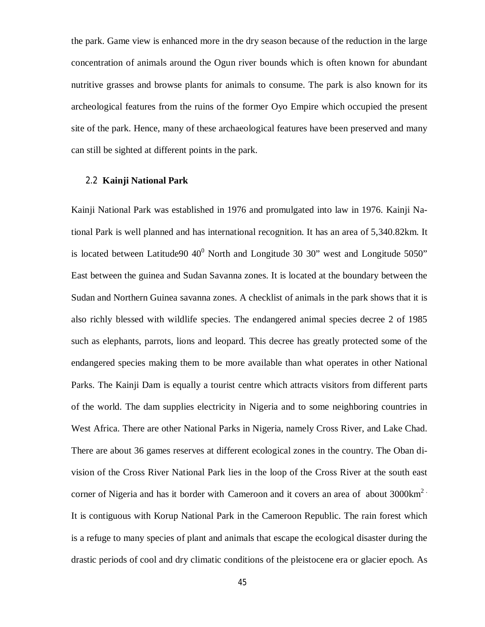the park. Game view is enhanced more in the dry season because of the reduction in the large concentration of animals around the Ogun river bounds which is often known for abundant nutritive grasses and browse plants for animals to consume. The park is also known for its archeological features from the ruins of the former Oyo Empire which occupied the present site of the park. Hence, many of these archaeological features have been preserved and many can still be sighted at different points in the park.

## 2.2 **Kainji National Park**

Kainji National Park was established in 1976 and promulgated into law in 1976. Kainji National Park is well planned and has international recognition. It has an area of 5,340.82km. It is located between Latitude90  $40^0$  North and Longitude 30 30" west and Longitude 5050" East between the guinea and Sudan Savanna zones. It is located at the boundary between the Sudan and Northern Guinea savanna zones. A checklist of animals in the park shows that it is also richly blessed with wildlife species. The endangered animal species decree 2 of 1985 such as elephants, parrots, lions and leopard. This decree has greatly protected some of the endangered species making them to be more available than what operates in other National Parks. The Kainji Dam is equally a tourist centre which attracts visitors from different parts of the world. The dam supplies electricity in Nigeria and to some neighboring countries in West Africa. There are other National Parks in Nigeria, namely Cross River, and Lake Chad. There are about 36 games reserves at different ecological zones in the country. The Oban division of the Cross River National Park lies in the loop of the Cross River at the south east corner of Nigeria and has it border with Cameroon and it covers an area of about 3000km<sup>2</sup> It is contiguous with Korup National Park in the Cameroon Republic. The rain forest which is a refuge to many species of plant and animals that escape the ecological disaster during the drastic periods of cool and dry climatic conditions of the pleistocene era or glacier epoch. As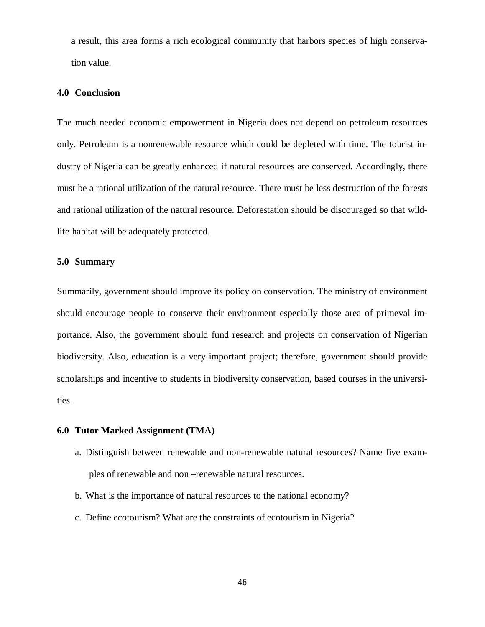a result, this area forms a rich ecological community that harbors species of high conservation value.

## **4.0 Conclusion**

The much needed economic empowerment in Nigeria does not depend on petroleum resources only. Petroleum is a nonrenewable resource which could be depleted with time. The tourist industry of Nigeria can be greatly enhanced if natural resources are conserved. Accordingly, there must be a rational utilization of the natural resource. There must be less destruction of the forests and rational utilization of the natural resource. Deforestation should be discouraged so that wildlife habitat will be adequately protected.

## **5.0 Summary**

Summarily, government should improve its policy on conservation. The ministry of environment should encourage people to conserve their environment especially those area of primeval importance. Also, the government should fund research and projects on conservation of Nigerian biodiversity. Also, education is a very important project; therefore, government should provide scholarships and incentive to students in biodiversity conservation, based courses in the universities.

### **6.0 Tutor Marked Assignment (TMA)**

- a. Distinguish between renewable and non-renewable natural resources? Name five examples of renewable and non –renewable natural resources.
- b. What is the importance of natural resources to the national economy?
- c. Define ecotourism? What are the constraints of ecotourism in Nigeria?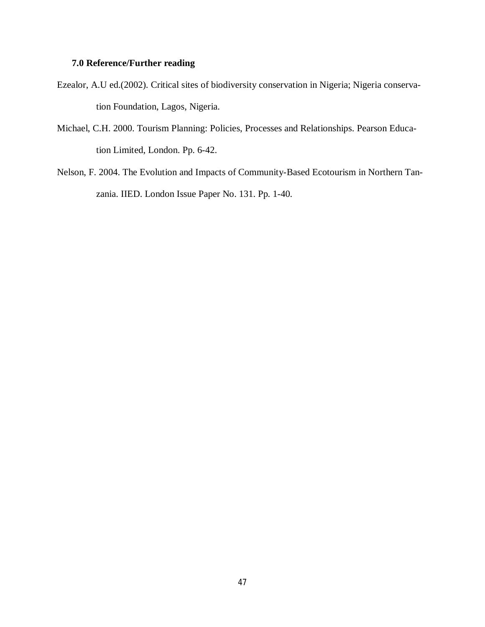# **7.0 Reference/Further reading**

- Ezealor, A.U ed.(2002). Critical sites of biodiversity conservation in Nigeria; Nigeria conservation Foundation, Lagos, Nigeria.
- Michael, C.H. 2000. Tourism Planning: Policies, Processes and Relationships. Pearson Education Limited, London. Pp. 6-42.
- Nelson, F. 2004. The Evolution and Impacts of Community-Based Ecotourism in Northern Tanzania. IIED. London Issue Paper No. 131. Pp. 1-40.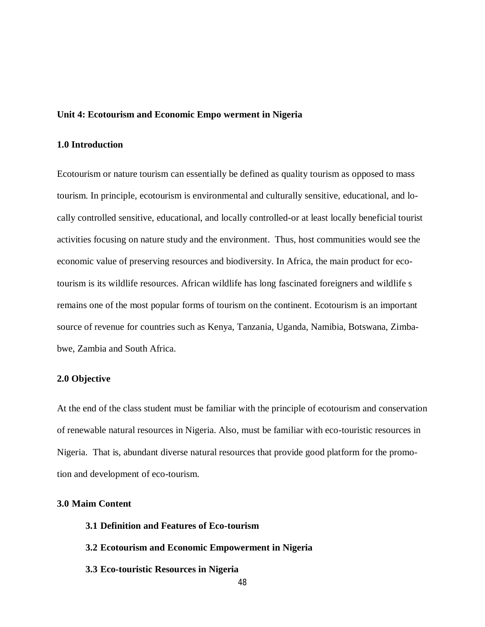#### **Unit 4: Ecotourism and Economic Empo werment in Nigeria**

## **1.0 Introduction**

Ecotourism or nature tourism can essentially be defined as quality tourism as opposed to mass tourism. In principle, ecotourism is environmental and culturally sensitive, educational, and locally controlled sensitive, educational, and locally controlled-or at least locally beneficial tourist activities focusing on nature study and the environment. Thus, host communities would see the economic value of preserving resources and biodiversity. In Africa, the main product for ecotourism is its wildlife resources. African wildlife has long fascinated foreigners and wildlife s remains one of the most popular forms of tourism on the continent. Ecotourism is an important source of revenue for countries such as Kenya, Tanzania, Uganda, Namibia, Botswana, Zimbabwe, Zambia and South Africa.

#### **2.0 Objective**

At the end of the class student must be familiar with the principle of ecotourism and conservation of renewable natural resources in Nigeria. Also, must be familiar with eco-touristic resources in Nigeria. That is, abundant diverse natural resources that provide good platform for the promotion and development of eco-tourism.

#### **3.0 Maim Content**

- **3.1 Definition and Features of Eco-tourism**
- **3.2 Ecotourism and Economic Empowerment in Nigeria**
- **3.3 Eco-touristic Resources in Nigeria**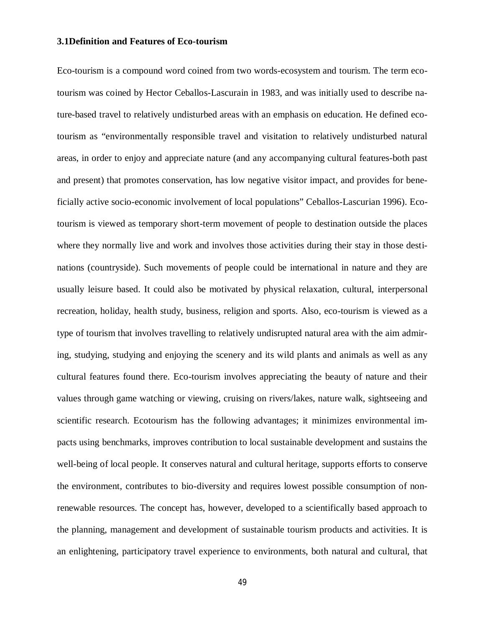### **3.1Definition and Features of Eco-tourism**

Eco-tourism is a compound word coined from two words-ecosystem and tourism. The term ecotourism was coined by Hector Ceballos-Lascurain in 1983, and was initially used to describe nature-based travel to relatively undisturbed areas with an emphasis on education. He defined ecotourism as "environmentally responsible travel and visitation to relatively undisturbed natural areas, in order to enjoy and appreciate nature (and any accompanying cultural features-both past and present) that promotes conservation, has low negative visitor impact, and provides for beneficially active socio-economic involvement of local populations" Ceballos-Lascurian 1996). Ecotourism is viewed as temporary short-term movement of people to destination outside the places where they normally live and work and involves those activities during their stay in those destinations (countryside). Such movements of people could be international in nature and they are usually leisure based. It could also be motivated by physical relaxation, cultural, interpersonal recreation, holiday, health study, business, religion and sports. Also, eco-tourism is viewed as a type of tourism that involves travelling to relatively undisrupted natural area with the aim admiring, studying, studying and enjoying the scenery and its wild plants and animals as well as any cultural features found there. Eco-tourism involves appreciating the beauty of nature and their values through game watching or viewing, cruising on rivers/lakes, nature walk, sightseeing and scientific research. Ecotourism has the following advantages; it minimizes environmental impacts using benchmarks, improves contribution to local sustainable development and sustains the well-being of local people. It conserves natural and cultural heritage, supports efforts to conserve the environment, contributes to bio-diversity and requires lowest possible consumption of nonrenewable resources. The concept has, however, developed to a scientifically based approach to the planning, management and development of sustainable tourism products and activities. It is an enlightening, participatory travel experience to environments, both natural and cultural, that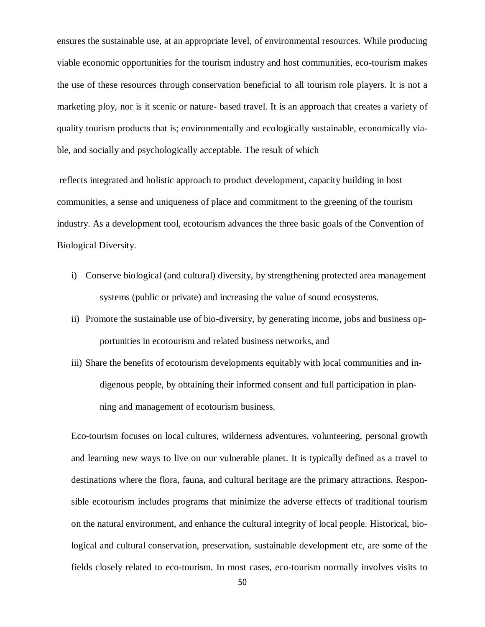ensures the sustainable use, at an appropriate level, of environmental resources. While producing viable economic opportunities for the tourism industry and host communities, eco-tourism makes the use of these resources through conservation beneficial to all tourism role players. It is not a marketing ploy, nor is it scenic or nature- based travel. It is an approach that creates a variety of quality tourism products that is; environmentally and ecologically sustainable, economically viable, and socially and psychologically acceptable. The result of which

reflects integrated and holistic approach to product development, capacity building in host communities, a sense and uniqueness of place and commitment to the greening of the tourism industry. As a development tool, ecotourism advances the three basic goals of the Convention of Biological Diversity.

- i) Conserve biological (and cultural) diversity, by strengthening protected area management systems (public or private) and increasing the value of sound ecosystems.
- ii) Promote the sustainable use of bio-diversity, by generating income, jobs and business opportunities in ecotourism and related business networks, and
- iii) Share the benefits of ecotourism developments equitably with local communities and indigenous people, by obtaining their informed consent and full participation in planning and management of ecotourism business.

Eco-tourism focuses on local cultures, wilderness adventures, volunteering, personal growth and learning new ways to live on our vulnerable planet. It is typically defined as a travel to destinations where the flora, fauna, and cultural heritage are the primary attractions. Responsible ecotourism includes programs that minimize the adverse effects of traditional tourism on the natural environment, and enhance the cultural integrity of local people. Historical, biological and cultural conservation, preservation, sustainable development etc, are some of the fields closely related to eco-tourism. In most cases, eco-tourism normally involves visits to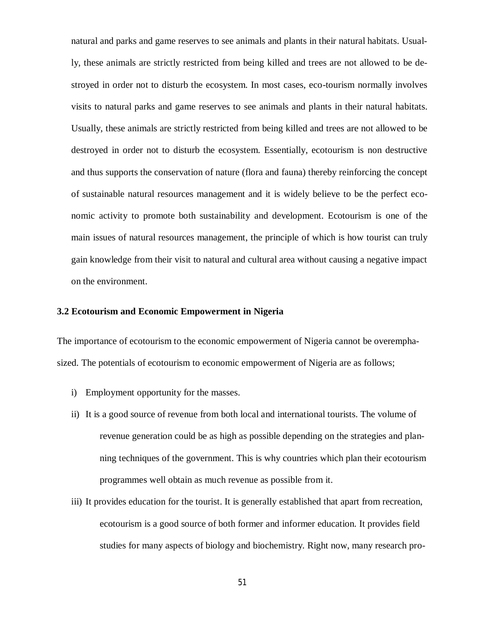natural and parks and game reserves to see animals and plants in their natural habitats. Usually, these animals are strictly restricted from being killed and trees are not allowed to be destroyed in order not to disturb the ecosystem. In most cases, eco-tourism normally involves visits to natural parks and game reserves to see animals and plants in their natural habitats. Usually, these animals are strictly restricted from being killed and trees are not allowed to be destroyed in order not to disturb the ecosystem. Essentially, ecotourism is non destructive and thus supports the conservation of nature (flora and fauna) thereby reinforcing the concept of sustainable natural resources management and it is widely believe to be the perfect economic activity to promote both sustainability and development. Ecotourism is one of the main issues of natural resources management, the principle of which is how tourist can truly gain knowledge from their visit to natural and cultural area without causing a negative impact on the environment.

#### **3.2 Ecotourism and Economic Empowerment in Nigeria**

The importance of ecotourism to the economic empowerment of Nigeria cannot be overemphasized. The potentials of ecotourism to economic empowerment of Nigeria are as follows;

- i) Employment opportunity for the masses.
- ii) It is a good source of revenue from both local and international tourists. The volume of revenue generation could be as high as possible depending on the strategies and planning techniques of the government. This is why countries which plan their ecotourism programmes well obtain as much revenue as possible from it.
- iii) It provides education for the tourist. It is generally established that apart from recreation, ecotourism is a good source of both former and informer education. It provides field studies for many aspects of biology and biochemistry. Right now, many research pro-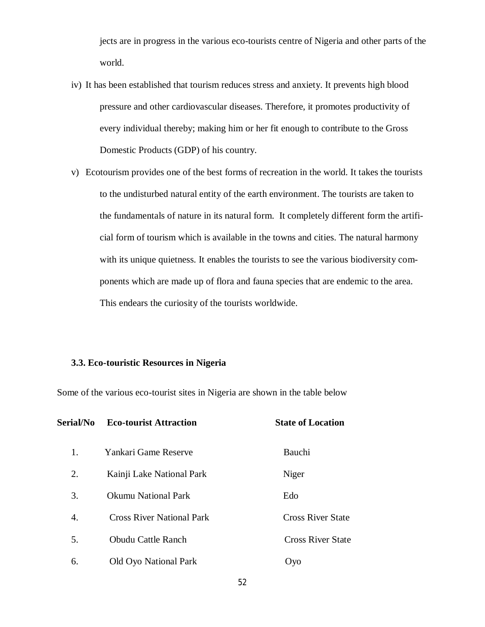jects are in progress in the various eco-tourists centre of Nigeria and other parts of the world.

- iv) It has been established that tourism reduces stress and anxiety. It prevents high blood pressure and other cardiovascular diseases. Therefore, it promotes productivity of every individual thereby; making him or her fit enough to contribute to the Gross Domestic Products (GDP) of his country.
- v) Ecotourism provides one of the best forms of recreation in the world. It takes the tourists to the undisturbed natural entity of the earth environment. The tourists are taken to the fundamentals of nature in its natural form. It completely different form the artificial form of tourism which is available in the towns and cities. The natural harmony with its unique quietness. It enables the tourists to see the various biodiversity components which are made up of flora and fauna species that are endemic to the area. This endears the curiosity of the tourists worldwide.

### **3.3. Eco-touristic Resources in Nigeria**

Some of the various eco-tourist sites in Nigeria are shown in the table below

| Serial/No | <b>Eco-tourist Attraction</b>    | <b>State of Location</b><br>Bauchi |  |
|-----------|----------------------------------|------------------------------------|--|
| 1.        | Yankari Game Reserve             |                                    |  |
| 2.        | Kainji Lake National Park        | Niger                              |  |
| 3.        | <b>Okumu National Park</b>       | Edo                                |  |
| 4.        | <b>Cross River National Park</b> | <b>Cross River State</b>           |  |
| 5.        | <b>Obudu Cattle Ranch</b>        | <b>Cross River State</b>           |  |
| 6.        | <b>Old Oyo National Park</b>     | Oyo                                |  |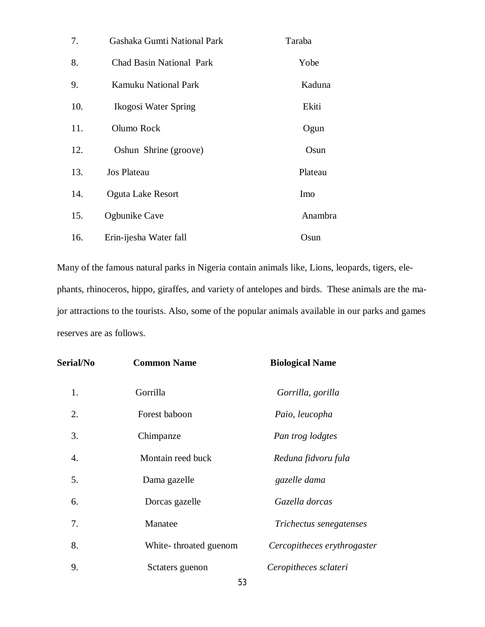| 7.  | Gashaka Gumti National Park     | Taraba  |
|-----|---------------------------------|---------|
| 8.  | <b>Chad Basin National Park</b> | Yobe    |
| 9.  | <b>Kamuku National Park</b>     | Kaduna  |
| 10. | Ikogosi Water Spring            | Ekiti   |
| 11. | Olumo Rock                      | Ogun    |
| 12. | Oshun Shrine (groove)           | Osun    |
| 13. | <b>Jos Plateau</b>              | Plateau |
| 14. | Oguta Lake Resort               | Imo     |
| 15. | Ogbunike Cave                   | Anambra |
| 16. | Erin-ijesha Water fall          | Osun    |

Many of the famous natural parks in Nigeria contain animals like, Lions, leopards, tigers, elephants, rhinoceros, hippo, giraffes, and variety of antelopes and birds. These animals are the major attractions to the tourists. Also, some of the popular animals available in our parks and games reserves are as follows.

| <b>Serial/No</b> | <b>Common Name</b>    | <b>Biological Name</b>      |  |
|------------------|-----------------------|-----------------------------|--|
| 1.               | Gorrilla              | Gorrilla, gorilla           |  |
| 2.               | Forest baboon         | Paio, leucopha              |  |
| 3.               | Chimpanze             | Pan trog lodgtes            |  |
| 4.               | Montain reed buck     | Reduna fidvoru fula         |  |
| 5.               | Dama gazelle          | gazelle dama                |  |
| 6.               | Dorcas gazelle        | Gazella dorcas              |  |
| 7.               | Manatee               | Trichectus senegatenses     |  |
| 8.               | White-throated guenom | Cercopitheces erythrogaster |  |
| 9.               | Sctaters guenon       | Ceropitheces sclateri       |  |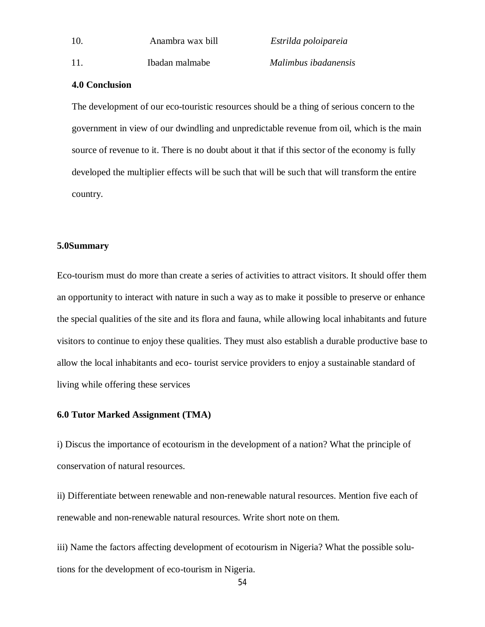| 10. |  |  |  |
|-----|--|--|--|
|     |  |  |  |

10. Anambra wax bill *Estrilda poloipareia*

11. Ibadan malmabe *Malimbus ibadanensis*

## **4.0 Conclusion**

The development of our eco-touristic resources should be a thing of serious concern to the government in view of our dwindling and unpredictable revenue from oil, which is the main source of revenue to it. There is no doubt about it that if this sector of the economy is fully developed the multiplier effects will be such that will be such that will transform the entire country.

### **5.0Summary**

Eco-tourism must do more than create a series of activities to attract visitors. It should offer them an opportunity to interact with nature in such a way as to make it possible to preserve or enhance the special qualities of the site and its flora and fauna, while allowing local inhabitants and future visitors to continue to enjoy these qualities. They must also establish a durable productive base to allow the local inhabitants and eco- tourist service providers to enjoy a sustainable standard of living while offering these services

## **6.0 Tutor Marked Assignment (TMA)**

i) Discus the importance of ecotourism in the development of a nation? What the principle of conservation of natural resources.

ii) Differentiate between renewable and non-renewable natural resources. Mention five each of renewable and non-renewable natural resources. Write short note on them.

iii) Name the factors affecting development of ecotourism in Nigeria? What the possible solutions for the development of eco-tourism in Nigeria.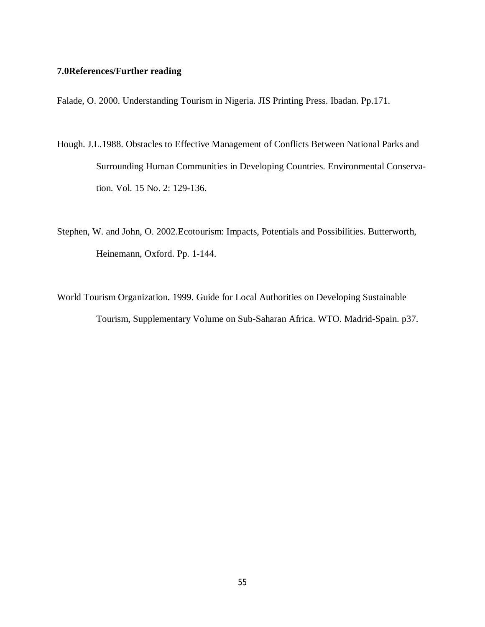# **7.0References/Further reading**

Falade, O. 2000. Understanding Tourism in Nigeria. JIS Printing Press. Ibadan. Pp.171.

- Hough. J.L.1988. Obstacles to Effective Management of Conflicts Between National Parks and Surrounding Human Communities in Developing Countries. Environmental Conservation. Vol. 15 No. 2: 129-136.
- Stephen, W. and John, O. 2002.Ecotourism: Impacts, Potentials and Possibilities. Butterworth, Heinemann, Oxford. Pp. 1-144.
- World Tourism Organization. 1999. Guide for Local Authorities on Developing Sustainable Tourism, Supplementary Volume on Sub-Saharan Africa. WTO. Madrid-Spain. p37.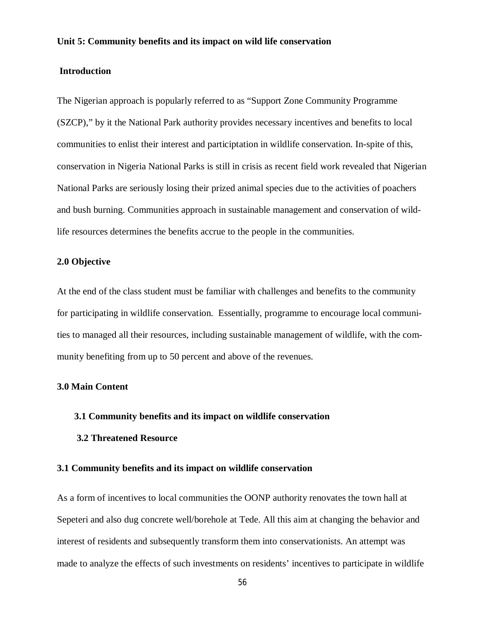### **Unit 5: Community benefits and its impact on wild life conservation**

### **Introduction**

The Nigerian approach is popularly referred to as "Support Zone Community Programme (SZCP)," by it the National Park authority provides necessary incentives and benefits to local communities to enlist their interest and participtation in wildlife conservation. In-spite of this, conservation in Nigeria National Parks is still in crisis as recent field work revealed that Nigerian National Parks are seriously losing their prized animal species due to the activities of poachers and bush burning. Communities approach in sustainable management and conservation of wildlife resources determines the benefits accrue to the people in the communities.

## **2.0 Objective**

At the end of the class student must be familiar with challenges and benefits to the community for participating in wildlife conservation. Essentially, programme to encourage local communities to managed all their resources, including sustainable management of wildlife, with the community benefiting from up to 50 percent and above of the revenues.

#### **3.0 Main Content**

#### **3.1 Community benefits and its impact on wildlife conservation**

#### **3.2 Threatened Resource**

#### **3.1 Community benefits and its impact on wildlife conservation**

As a form of incentives to local communities the OONP authority renovates the town hall at Sepeteri and also dug concrete well/borehole at Tede. All this aim at changing the behavior and interest of residents and subsequently transform them into conservationists. An attempt was made to analyze the effects of such investments on residents' incentives to participate in wildlife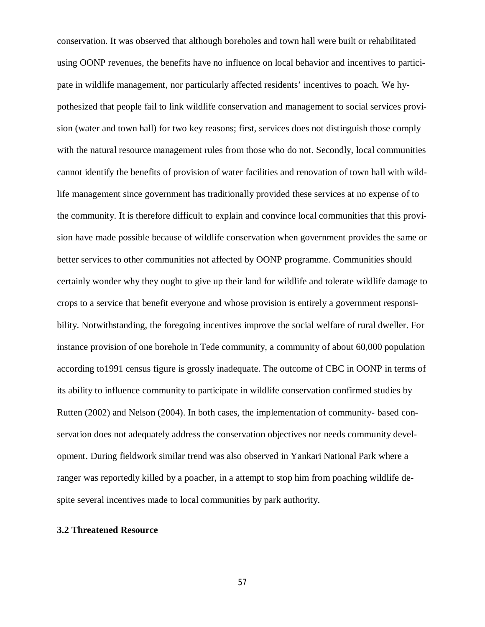conservation. It was observed that although boreholes and town hall were built or rehabilitated using OONP revenues, the benefits have no influence on local behavior and incentives to participate in wildlife management, nor particularly affected residents' incentives to poach. We hypothesized that people fail to link wildlife conservation and management to social services provision (water and town hall) for two key reasons; first, services does not distinguish those comply with the natural resource management rules from those who do not. Secondly, local communities cannot identify the benefits of provision of water facilities and renovation of town hall with wildlife management since government has traditionally provided these services at no expense of to the community. It is therefore difficult to explain and convince local communities that this provision have made possible because of wildlife conservation when government provides the same or better services to other communities not affected by OONP programme. Communities should certainly wonder why they ought to give up their land for wildlife and tolerate wildlife damage to crops to a service that benefit everyone and whose provision is entirely a government responsibility. Notwithstanding, the foregoing incentives improve the social welfare of rural dweller. For instance provision of one borehole in Tede community, a community of about 60,000 population according to1991 census figure is grossly inadequate. The outcome of CBC in OONP in terms of its ability to influence community to participate in wildlife conservation confirmed studies by Rutten (2002) and Nelson (2004). In both cases, the implementation of community- based conservation does not adequately address the conservation objectives nor needs community development. During fieldwork similar trend was also observed in Yankari National Park where a ranger was reportedly killed by a poacher, in a attempt to stop him from poaching wildlife despite several incentives made to local communities by park authority.

### **3.2 Threatened Resource**

57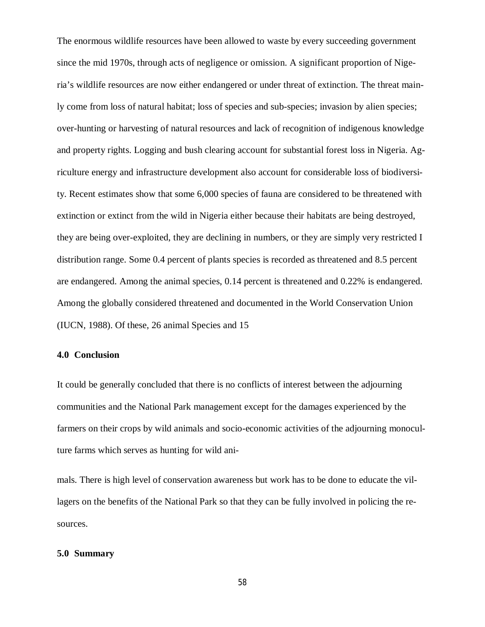The enormous wildlife resources have been allowed to waste by every succeeding government since the mid 1970s, through acts of negligence or omission. A significant proportion of Nigeria's wildlife resources are now either endangered or under threat of extinction. The threat mainly come from loss of natural habitat; loss of species and sub-species; invasion by alien species; over-hunting or harvesting of natural resources and lack of recognition of indigenous knowledge and property rights. Logging and bush clearing account for substantial forest loss in Nigeria. Agriculture energy and infrastructure development also account for considerable loss of biodiversity. Recent estimates show that some 6,000 species of fauna are considered to be threatened with extinction or extinct from the wild in Nigeria either because their habitats are being destroyed, they are being over-exploited, they are declining in numbers, or they are simply very restricted I distribution range. Some 0.4 percent of plants species is recorded as threatened and 8.5 percent are endangered. Among the animal species, 0.14 percent is threatened and 0.22% is endangered. Among the globally considered threatened and documented in the World Conservation Union (IUCN, 1988). Of these, 26 animal Species and 15

### **4.0 Conclusion**

It could be generally concluded that there is no conflicts of interest between the adjourning communities and the National Park management except for the damages experienced by the farmers on their crops by wild animals and socio-economic activities of the adjourning monoculture farms which serves as hunting for wild ani-

mals. There is high level of conservation awareness but work has to be done to educate the villagers on the benefits of the National Park so that they can be fully involved in policing the resources.

#### **5.0 Summary**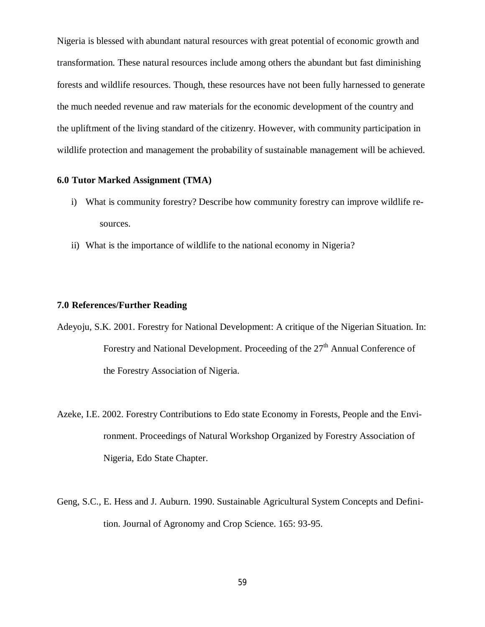Nigeria is blessed with abundant natural resources with great potential of economic growth and transformation. These natural resources include among others the abundant but fast diminishing forests and wildlife resources. Though, these resources have not been fully harnessed to generate the much needed revenue and raw materials for the economic development of the country and the upliftment of the living standard of the citizenry. However, with community participation in wildlife protection and management the probability of sustainable management will be achieved.

## **6.0 Tutor Marked Assignment (TMA)**

- i) What is community forestry? Describe how community forestry can improve wildlife resources.
- ii) What is the importance of wildlife to the national economy in Nigeria?

#### **7.0 References/Further Reading**

- Adeyoju, S.K. 2001. Forestry for National Development: A critique of the Nigerian Situation. In: Forestry and National Development. Proceeding of the  $27<sup>th</sup>$  Annual Conference of the Forestry Association of Nigeria.
- Azeke, I.E. 2002. Forestry Contributions to Edo state Economy in Forests, People and the Environment. Proceedings of Natural Workshop Organized by Forestry Association of Nigeria, Edo State Chapter.
- Geng, S.C., E. Hess and J. Auburn. 1990. Sustainable Agricultural System Concepts and Definition. Journal of Agronomy and Crop Science. 165: 93-95.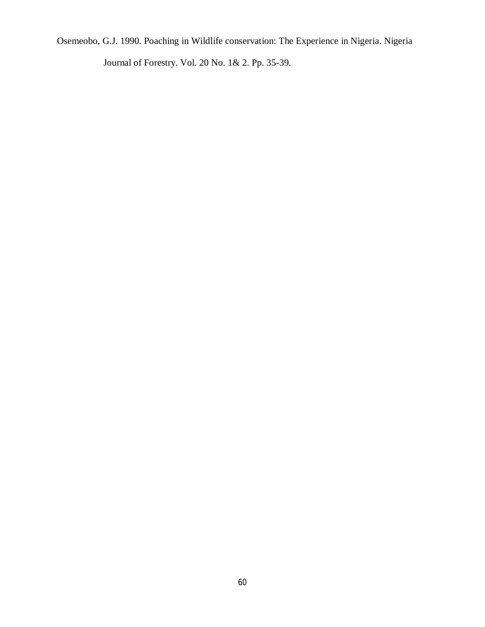Osemeobo, G.J. 1990. Poaching in Wildlife conservation: The Experience in Nigeria. Nigeria

Journal of Forestry. Vol. 20 No. 1& 2. Pp. 35-39.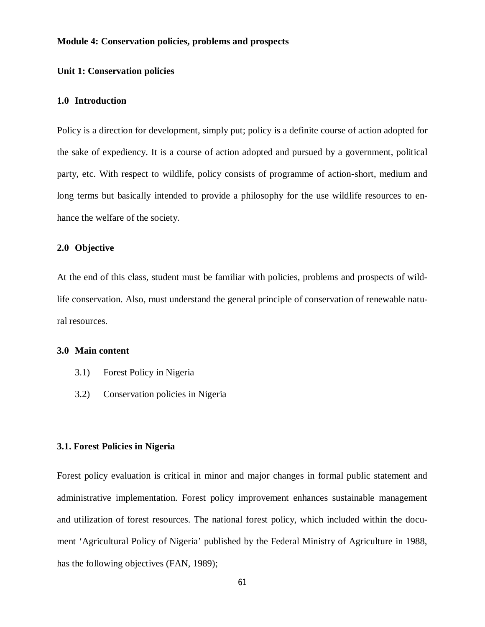#### **Module 4: Conservation policies, problems and prospects**

### **Unit 1: Conservation policies**

## **1.0 Introduction**

Policy is a direction for development, simply put; policy is a definite course of action adopted for the sake of expediency. It is a course of action adopted and pursued by a government, political party, etc. With respect to wildlife, policy consists of programme of action-short, medium and long terms but basically intended to provide a philosophy for the use wildlife resources to enhance the welfare of the society.

### **2.0 Objective**

At the end of this class, student must be familiar with policies, problems and prospects of wildlife conservation. Also, must understand the general principle of conservation of renewable natural resources.

### **3.0 Main content**

- 3.1) Forest Policy in Nigeria
- 3.2) Conservation policies in Nigeria

#### **3.1. Forest Policies in Nigeria**

Forest policy evaluation is critical in minor and major changes in formal public statement and administrative implementation. Forest policy improvement enhances sustainable management and utilization of forest resources. The national forest policy, which included within the document 'Agricultural Policy of Nigeria' published by the Federal Ministry of Agriculture in 1988, has the following objectives (FAN, 1989);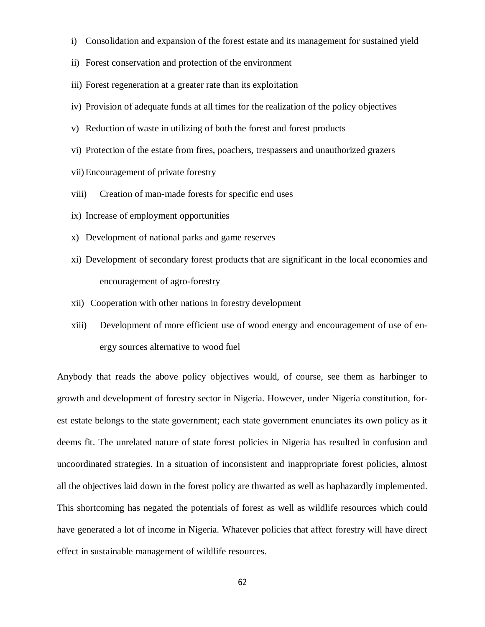- i) Consolidation and expansion of the forest estate and its management for sustained yield
- ii) Forest conservation and protection of the environment
- iii) Forest regeneration at a greater rate than its exploitation
- iv) Provision of adequate funds at all times for the realization of the policy objectives
- v) Reduction of waste in utilizing of both the forest and forest products
- vi) Protection of the estate from fires, poachers, trespassers and unauthorized grazers
- vii)Encouragement of private forestry
- viii) Creation of man-made forests for specific end uses
- ix) Increase of employment opportunities
- x) Development of national parks and game reserves
- xi) Development of secondary forest products that are significant in the local economies and encouragement of agro-forestry
- xii) Cooperation with other nations in forestry development
- xiii) Development of more efficient use of wood energy and encouragement of use of energy sources alternative to wood fuel

Anybody that reads the above policy objectives would, of course, see them as harbinger to growth and development of forestry sector in Nigeria. However, under Nigeria constitution, forest estate belongs to the state government; each state government enunciates its own policy as it deems fit. The unrelated nature of state forest policies in Nigeria has resulted in confusion and uncoordinated strategies. In a situation of inconsistent and inappropriate forest policies, almost all the objectives laid down in the forest policy are thwarted as well as haphazardly implemented. This shortcoming has negated the potentials of forest as well as wildlife resources which could have generated a lot of income in Nigeria. Whatever policies that affect forestry will have direct effect in sustainable management of wildlife resources.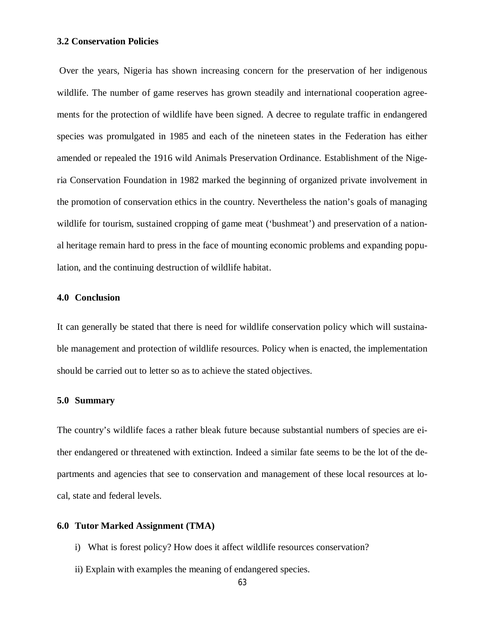## **3.2 Conservation Policies**

Over the years, Nigeria has shown increasing concern for the preservation of her indigenous wildlife. The number of game reserves has grown steadily and international cooperation agreements for the protection of wildlife have been signed. A decree to regulate traffic in endangered species was promulgated in 1985 and each of the nineteen states in the Federation has either amended or repealed the 1916 wild Animals Preservation Ordinance. Establishment of the Nigeria Conservation Foundation in 1982 marked the beginning of organized private involvement in the promotion of conservation ethics in the country. Nevertheless the nation's goals of managing wildlife for tourism, sustained cropping of game meat ('bushmeat') and preservation of a national heritage remain hard to press in the face of mounting economic problems and expanding population, and the continuing destruction of wildlife habitat.

### **4.0 Conclusion**

It can generally be stated that there is need for wildlife conservation policy which will sustainable management and protection of wildlife resources. Policy when is enacted, the implementation should be carried out to letter so as to achieve the stated objectives.

### **5.0 Summary**

The country's wildlife faces a rather bleak future because substantial numbers of species are either endangered or threatened with extinction. Indeed a similar fate seems to be the lot of the departments and agencies that see to conservation and management of these local resources at local, state and federal levels.

#### **6.0 Tutor Marked Assignment (TMA)**

- i) What is forest policy? How does it affect wildlife resources conservation?
- ii) Explain with examples the meaning of endangered species.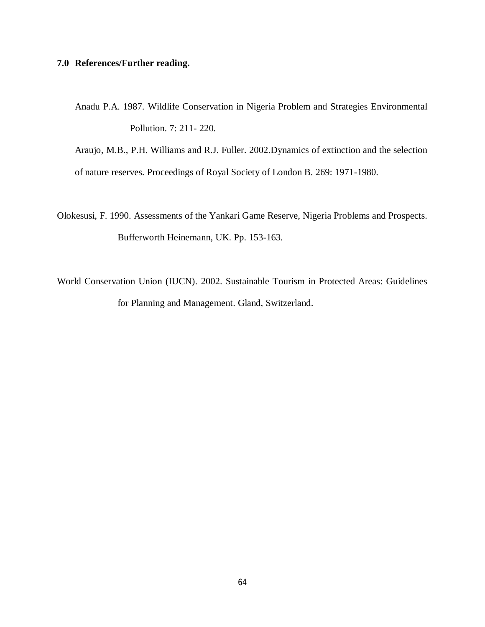## **7.0 References/Further reading.**

Anadu P.A. 1987. Wildlife Conservation in Nigeria Problem and Strategies Environmental Pollution. 7: 211- 220.

Araujo, M.B., P.H. Williams and R.J. Fuller. 2002.Dynamics of extinction and the selection

of nature reserves. Proceedings of Royal Society of London B. 269: 1971-1980.

- Olokesusi, F. 1990. Assessments of the Yankari Game Reserve, Nigeria Problems and Prospects. Bufferworth Heinemann, UK. Pp. 153-163.
- World Conservation Union (IUCN). 2002. Sustainable Tourism in Protected Areas: Guidelines for Planning and Management. Gland, Switzerland.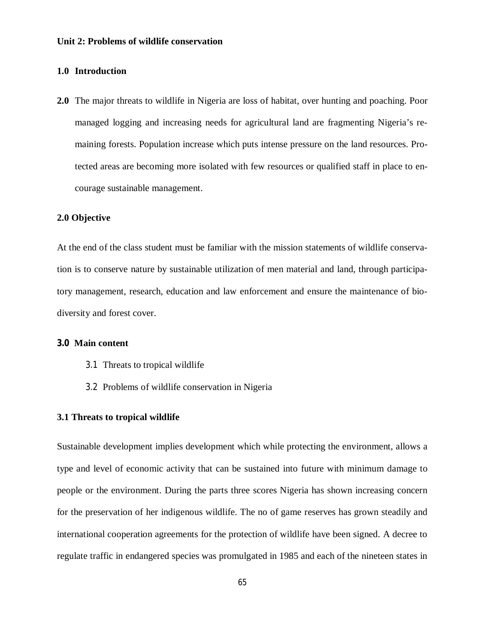### **Unit 2: Problems of wildlife conservation**

## **1.0 Introduction**

**2.0** The major threats to wildlife in Nigeria are loss of habitat, over hunting and poaching. Poor managed logging and increasing needs for agricultural land are fragmenting Nigeria's remaining forests. Population increase which puts intense pressure on the land resources. Protected areas are becoming more isolated with few resources or qualified staff in place to encourage sustainable management.

## **2.0 Objective**

At the end of the class student must be familiar with the mission statements of wildlife conservation is to conserve nature by sustainable utilization of men material and land, through participatory management, research, education and law enforcement and ensure the maintenance of biodiversity and forest cover.

#### **3.0 Main content**

- 3.1 Threats to tropical wildlife
- 3.2 Problems of wildlife conservation in Nigeria

#### **3.1 Threats to tropical wildlife**

Sustainable development implies development which while protecting the environment, allows a type and level of economic activity that can be sustained into future with minimum damage to people or the environment. During the parts three scores Nigeria has shown increasing concern for the preservation of her indigenous wildlife. The no of game reserves has grown steadily and international cooperation agreements for the protection of wildlife have been signed. A decree to regulate traffic in endangered species was promulgated in 1985 and each of the nineteen states in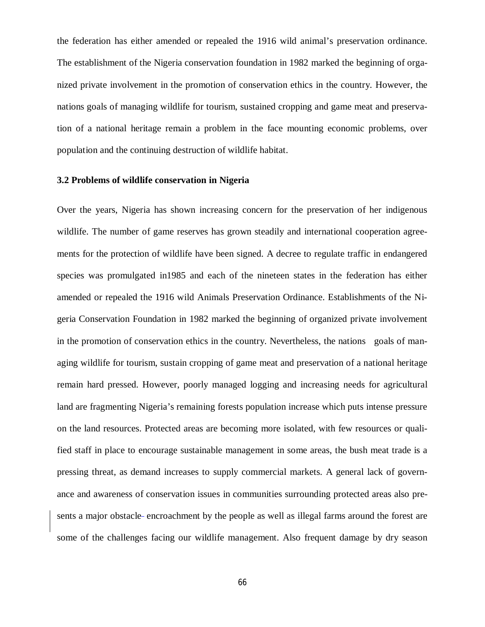the federation has either amended or repealed the 1916 wild animal's preservation ordinance. The establishment of the Nigeria conservation foundation in 1982 marked the beginning of organized private involvement in the promotion of conservation ethics in the country. However, the nations goals of managing wildlife for tourism, sustained cropping and game meat and preservation of a national heritage remain a problem in the face mounting economic problems, over population and the continuing destruction of wildlife habitat.

### **3.2 Problems of wildlife conservation in Nigeria**

Over the years, Nigeria has shown increasing concern for the preservation of her indigenous wildlife. The number of game reserves has grown steadily and international cooperation agreements for the protection of wildlife have been signed. A decree to regulate traffic in endangered species was promulgated in1985 and each of the nineteen states in the federation has either amended or repealed the 1916 wild Animals Preservation Ordinance. Establishments of the Nigeria Conservation Foundation in 1982 marked the beginning of organized private involvement in the promotion of conservation ethics in the country. Nevertheless, the nations goals of managing wildlife for tourism, sustain cropping of game meat and preservation of a national heritage remain hard pressed. However, poorly managed logging and increasing needs for agricultural land are fragmenting Nigeria's remaining forests population increase which puts intense pressure on the land resources. Protected areas are becoming more isolated, with few resources or qualified staff in place to encourage sustainable management in some areas, the bush meat trade is a pressing threat, as demand increases to supply commercial markets. A general lack of governance and awareness of conservation issues in communities surrounding protected areas also presents a major obstacle encroachment by the people as well as illegal farms around the forest are some of the challenges facing our wildlife management. Also frequent damage by dry season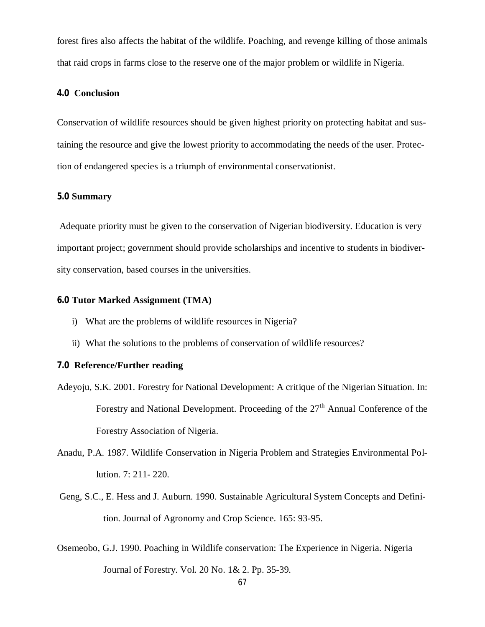forest fires also affects the habitat of the wildlife. Poaching, and revenge killing of those animals that raid crops in farms close to the reserve one of the major problem or wildlife in Nigeria.

## **4.0 Conclusion**

Conservation of wildlife resources should be given highest priority on protecting habitat and sustaining the resource and give the lowest priority to accommodating the needs of the user. Protection of endangered species is a triumph of environmental conservationist.

### **5.0 Summary**

Adequate priority must be given to the conservation of Nigerian biodiversity. Education is very important project; government should provide scholarships and incentive to students in biodiversity conservation, based courses in the universities.

### **6.0 Tutor Marked Assignment (TMA)**

- i) What are the problems of wildlife resources in Nigeria?
- ii) What the solutions to the problems of conservation of wildlife resources?

## **7.0 Reference/Further reading**

- Adeyoju, S.K. 2001. Forestry for National Development: A critique of the Nigerian Situation. In: Forestry and National Development. Proceeding of the  $27<sup>th</sup>$  Annual Conference of the Forestry Association of Nigeria.
- Anadu, P.A. 1987. Wildlife Conservation in Nigeria Problem and Strategies Environmental Pollution. 7: 211- 220.
- Geng, S.C., E. Hess and J. Auburn. 1990. Sustainable Agricultural System Concepts and Definition. Journal of Agronomy and Crop Science. 165: 93-95.
- Osemeobo, G.J. 1990. Poaching in Wildlife conservation: The Experience in Nigeria. Nigeria Journal of Forestry. Vol. 20 No. 1& 2. Pp. 35-39.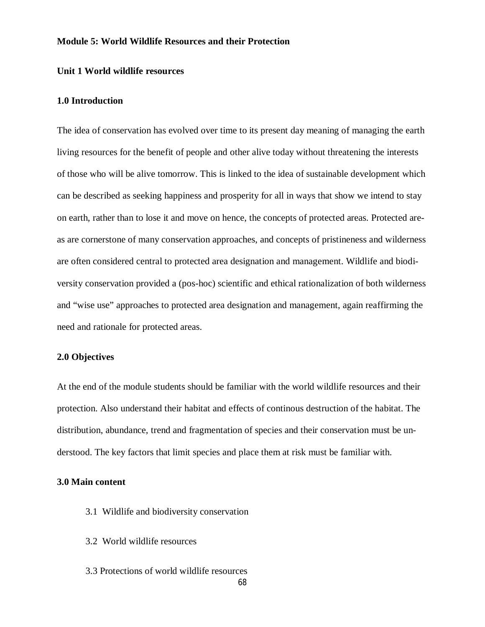#### **Module 5: World Wildlife Resources and their Protection**

### **Unit 1 World wildlife resources**

### **1.0 Introduction**

The idea of conservation has evolved over time to its present day meaning of managing the earth living resources for the benefit of people and other alive today without threatening the interests of those who will be alive tomorrow. This is linked to the idea of sustainable development which can be described as seeking happiness and prosperity for all in ways that show we intend to stay on earth, rather than to lose it and move on hence, the concepts of protected areas. Protected areas are cornerstone of many conservation approaches, and concepts of pristineness and wilderness are often considered central to protected area designation and management. Wildlife and biodiversity conservation provided a (pos-hoc) scientific and ethical rationalization of both wilderness and "wise use" approaches to protected area designation and management, again reaffirming the need and rationale for protected areas.

### **2.0 Objectives**

At the end of the module students should be familiar with the world wildlife resources and their protection. Also understand their habitat and effects of continous destruction of the habitat. The distribution, abundance, trend and fragmentation of species and their conservation must be understood. The key factors that limit species and place them at risk must be familiar with.

#### **3.0 Main content**

- 3.1 Wildlife and biodiversity conservation
- 3.2 World wildlife resources
- 3.3 Protections of world wildlife resources

68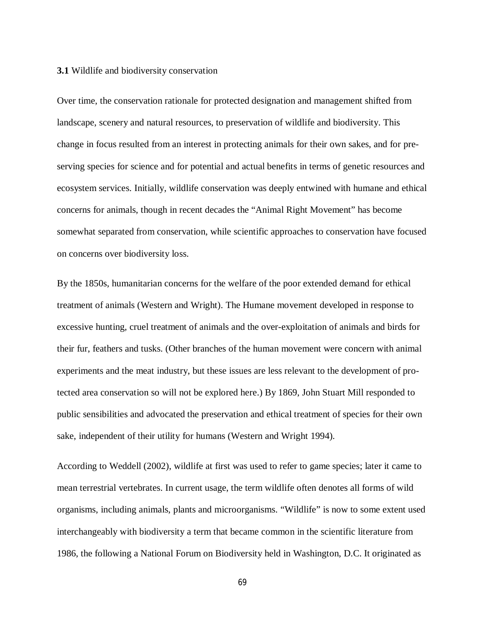#### **3.1** Wildlife and biodiversity conservation

Over time, the conservation rationale for protected designation and management shifted from landscape, scenery and natural resources, to preservation of wildlife and biodiversity. This change in focus resulted from an interest in protecting animals for their own sakes, and for preserving species for science and for potential and actual benefits in terms of genetic resources and ecosystem services. Initially, wildlife conservation was deeply entwined with humane and ethical concerns for animals, though in recent decades the "Animal Right Movement" has become somewhat separated from conservation, while scientific approaches to conservation have focused on concerns over biodiversity loss.

By the 1850s, humanitarian concerns for the welfare of the poor extended demand for ethical treatment of animals (Western and Wright). The Humane movement developed in response to excessive hunting, cruel treatment of animals and the over-exploitation of animals and birds for their fur, feathers and tusks. (Other branches of the human movement were concern with animal experiments and the meat industry, but these issues are less relevant to the development of protected area conservation so will not be explored here.) By 1869, John Stuart Mill responded to public sensibilities and advocated the preservation and ethical treatment of species for their own sake, independent of their utility for humans (Western and Wright 1994).

According to Weddell (2002), wildlife at first was used to refer to game species; later it came to mean terrestrial vertebrates. In current usage, the term wildlife often denotes all forms of wild organisms, including animals, plants and microorganisms. "Wildlife" is now to some extent used interchangeably with biodiversity a term that became common in the scientific literature from 1986, the following a National Forum on Biodiversity held in Washington, D.C. It originated as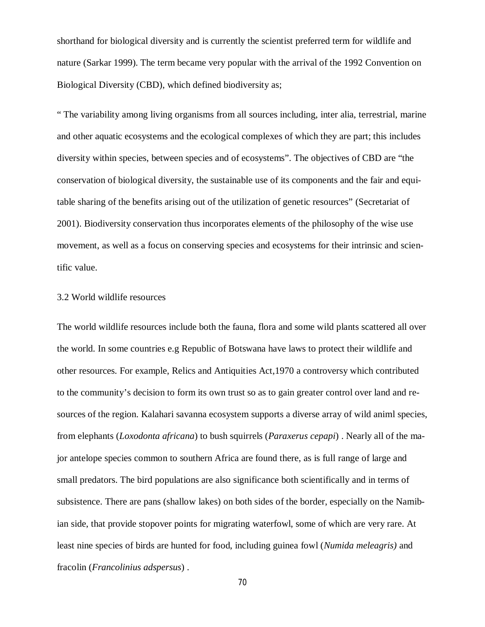shorthand for biological diversity and is currently the scientist preferred term for wildlife and nature (Sarkar 1999). The term became very popular with the arrival of the 1992 Convention on Biological Diversity (CBD), which defined biodiversity as;

" The variability among living organisms from all sources including, inter alia, terrestrial, marine and other aquatic ecosystems and the ecological complexes of which they are part; this includes diversity within species, between species and of ecosystems". The objectives of CBD are "the conservation of biological diversity, the sustainable use of its components and the fair and equitable sharing of the benefits arising out of the utilization of genetic resources" (Secretariat of 2001). Biodiversity conservation thus incorporates elements of the philosophy of the wise use movement, as well as a focus on conserving species and ecosystems for their intrinsic and scientific value.

#### 3.2 World wildlife resources

The world wildlife resources include both the fauna, flora and some wild plants scattered all over the world. In some countries e.g Republic of Botswana have laws to protect their wildlife and other resources. For example, Relics and Antiquities Act,1970 a controversy which contributed to the community's decision to form its own trust so as to gain greater control over land and resources of the region. Kalahari savanna ecosystem supports a diverse array of wild animl species, from elephants (*Loxodonta africana*) to bush squirrels (*Paraxerus cepapi*) . Nearly all of the major antelope species common to southern Africa are found there, as is full range of large and small predators. The bird populations are also significance both scientifically and in terms of subsistence. There are pans (shallow lakes) on both sides of the border, especially on the Namibian side, that provide stopover points for migrating waterfowl, some of which are very rare. At least nine species of birds are hunted for food, including guinea fowl (*Numida meleagris)* and fracolin (*Francolinius adspersus*) .

70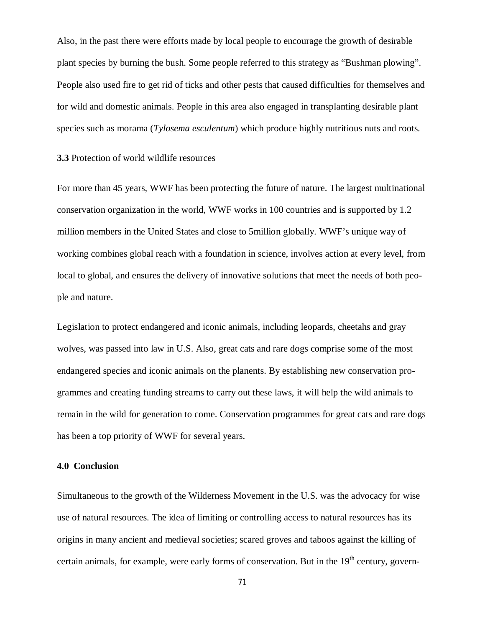Also, in the past there were efforts made by local people to encourage the growth of desirable plant species by burning the bush. Some people referred to this strategy as "Bushman plowing". People also used fire to get rid of ticks and other pests that caused difficulties for themselves and for wild and domestic animals. People in this area also engaged in transplanting desirable plant species such as morama (*Tylosema esculentum*) which produce highly nutritious nuts and roots.

## **3.3** Protection of world wildlife resources

For more than 45 years, WWF has been protecting the future of nature. The largest multinational conservation organization in the world, WWF works in 100 countries and is supported by 1.2 million members in the United States and close to 5million globally. WWF's unique way of working combines global reach with a foundation in science, involves action at every level, from local to global, and ensures the delivery of innovative solutions that meet the needs of both people and nature.

Legislation to protect endangered and iconic animals, including leopards, cheetahs and gray wolves, was passed into law in U.S. Also, great cats and rare dogs comprise some of the most endangered species and iconic animals on the planents. By establishing new conservation programmes and creating funding streams to carry out these laws, it will help the wild animals to remain in the wild for generation to come. Conservation programmes for great cats and rare dogs has been a top priority of WWF for several years.

## **4.0 Conclusion**

Simultaneous to the growth of the Wilderness Movement in the U.S. was the advocacy for wise use of natural resources. The idea of limiting or controlling access to natural resources has its origins in many ancient and medieval societies; scared groves and taboos against the killing of certain animals, for example, were early forms of conservation. But in the  $19<sup>th</sup>$  century, govern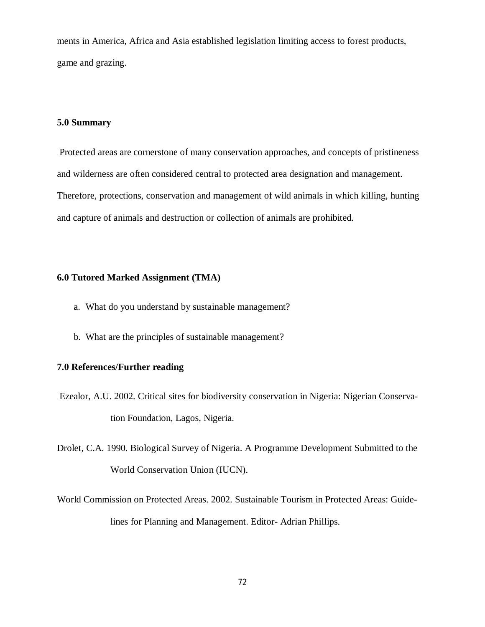ments in America, Africa and Asia established legislation limiting access to forest products, game and grazing.

### **5.0 Summary**

Protected areas are cornerstone of many conservation approaches, and concepts of pristineness and wilderness are often considered central to protected area designation and management. Therefore, protections, conservation and management of wild animals in which killing, hunting and capture of animals and destruction or collection of animals are prohibited.

### **6.0 Tutored Marked Assignment (TMA)**

- a. What do you understand by sustainable management?
- b. What are the principles of sustainable management?

# **7.0 References/Further reading**

- Ezealor, A.U. 2002. Critical sites for biodiversity conservation in Nigeria: Nigerian Conservation Foundation, Lagos, Nigeria.
- Drolet, C.A. 1990. Biological Survey of Nigeria. A Programme Development Submitted to the World Conservation Union (IUCN).
- World Commission on Protected Areas. 2002. Sustainable Tourism in Protected Areas: Guidelines for Planning and Management. Editor- Adrian Phillips.